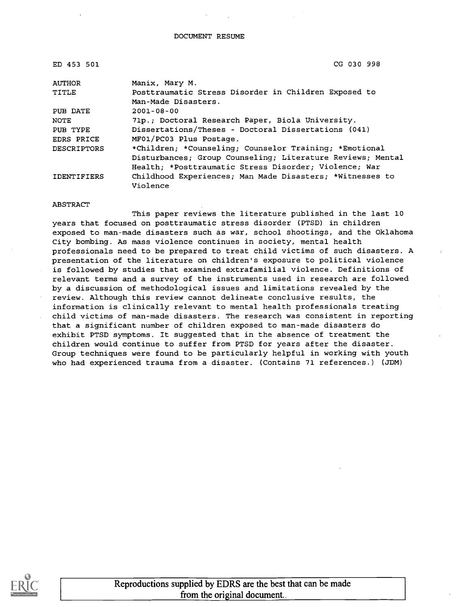| ED 453 501         | CG 030 998                                                 |
|--------------------|------------------------------------------------------------|
| AUTHOR             | Manix, Mary M.                                             |
| TITLE              | Posttraumatic Stress Disorder in Children Exposed to       |
|                    | Man-Made Disasters.                                        |
| PUB DATE           | $2001 - 08 - 00$                                           |
| NOTE               | 71p.; Doctoral Research Paper, Biola University.           |
| PUB TYPE           | Dissertations/Theses - Doctoral Dissertations (041)        |
| EDRS PRICE         | MF01/PC03 Plus Postage.                                    |
| <b>DESCRIPTORS</b> | *Children; *Counseling; Counselor Training; *Emotional     |
|                    | Disturbances; Group Counseling; Literature Reviews; Mental |
|                    | Health; *Posttraumatic Stress Disorder; Violence; War      |
| <b>IDENTIFIERS</b> | Childhood Experiences; Man Made Disasters; *Witnesses to   |
|                    | Violence                                                   |

#### ABSTRACT

This paper reviews the literature published in the last 10 years that focused on posttraumatic stress disorder (PTSD) in children exposed to man-made disasters such as war, school shootings, and the Oklahoma City bombing. As mass violence continues in society, mental health professionals need to be prepared to treat child victims of such disasters. A presentation of the literature on children's exposure to political violence is followed by studies that examined extrafamilial violence. Definitions of relevant terms and a survey of the instruments used in research are followed by a discussion of methodological issues and limitations revealed by the review. Although this review cannot delineate conclusive results, the information is clinically relevant to mental health professionals treating child victims of man-made disasters. The research was consistent in reporting that a significant number of children exposed to man-made disasters do exhibit PTSD symptoms. It suggested that in the absence of treatment the children would continue to suffer from PTSD for years after the disaster. Group techniques were found to be particularly helpful in working with youth who had experienced trauma from a disaster. (Contains 71 references.) (JDM)

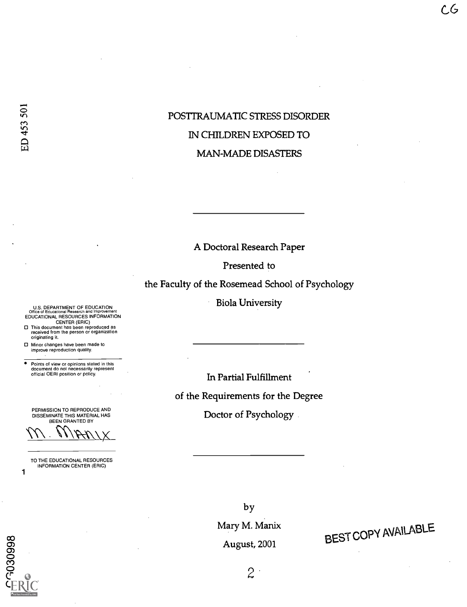### POSTTRAUMATIC STRESS DISORDER IN CHILDREN EXPOSED TO MAN-MADE DISASTERS

A Doctoral Research Paper

Presented to

the Faculty of the Rosemead School of Psychology

Biola University

In Partial Fulfillment

of the Requirements for the Degree

Doctor of Psychology

U.S. DEPARTMENT OF EDUCATION<br>Office of Educational Research and Improvement<br>EDUCATIONAL RESOURCES INFORMATION CENTER (ERIC)

This document has been reproduced as received from the person or organization originating it.

Minor changes have been made to improve reproduction quality.

. Points of view or opinions stated in this document do not necessarily represent official OERI position or policy.

PERMISSION TO REPRODUCE AND DISSEMINATE THIS MATERIAL HAS BEEN GRANTED BY

 $\overline{111 \cdot 111}$ 

TO THE EDUCATIONAL RESOURCES INFORMATION CENTER (ERIC)

oo<br>1900 - 1900 - 1910 - 1910 - 1910 - 1910 - 1910 - 1910 - 1910 - 1910 - 1910 - 1910 - 1910 - 1910 - 1910 - 19<br>1910 - 1920 - 1920 - 1920 - 1920 - 1920 - 1920 - 1920 - 1920 - 1920 - 1920 - 1920 - 1920 - 1920 - 1920 - 1920 or<br>O  $\frac{3}{2}$ 0<br>(F 0<br>1 F D 0 1

1

by Mary M. Manix August, 2001

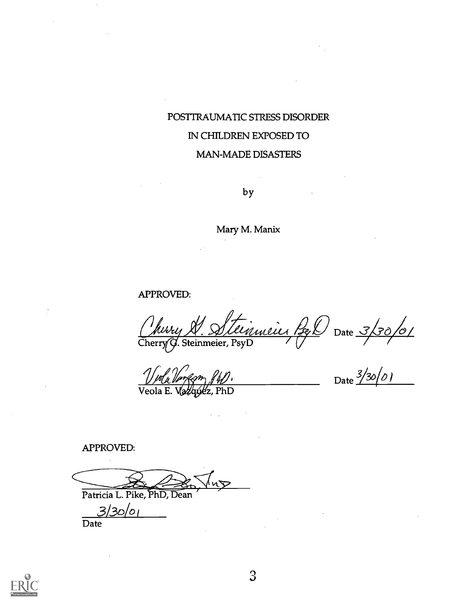## POSTTRAUMAI1C STRESS DISORDER IN CHILDREN EXPOSED TO MAN-MADE DISASTERS

by

Mary M. Manix

APPROVED:

Cherry $\vec{G}$ . Steinmeier, PsyDerry (/ Date  $3/30/0/$ 

Viola Venasm (U), Veola E z, PhD

 $\mathcal{L}^{\text{max}}$ 

Date 3/30/01

APPROVED:

Patricia L. Pike, PhD, Dean

 $3/30/01$ 

**Date** 

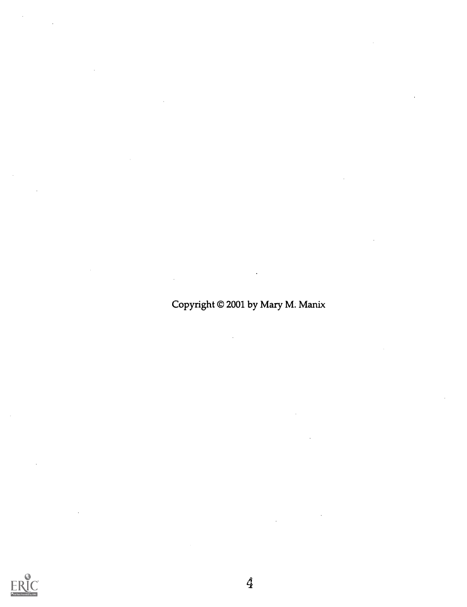Copyright © 2001 by Mary M. Manix

 $\mathbf{r}$ 

 $\hat{\mathcal{L}}$ 

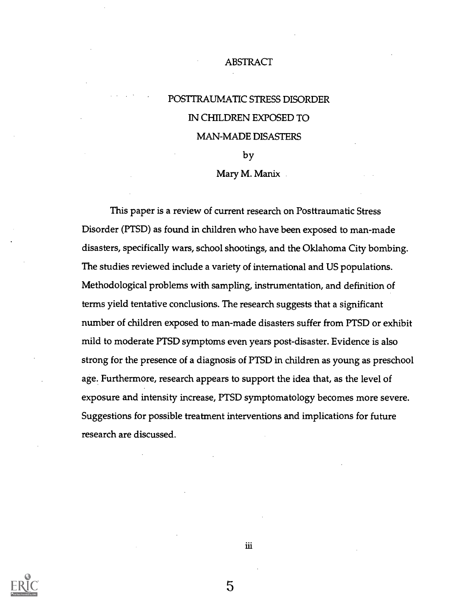#### ABSTRACT

# POSTTRAUMATIC STRESS DISORDER IN CHILDREN EXPOSED TO MAN-MADE DISASTERS

by

#### Mary M. Manix

This paper is a review of current research on Posttraumatic Stress Disorder (PTSD) as found in children who have been exposed to man-made disasters, specifically wars, school shootings, and the Oklahoma City bombing. The studies reviewed include a variety of international and US populations. Methodological problems with sampling, instrumentation, and definition of terms yield tentative conclusions. The research suggests that a significant number of children exposed to man-made disasters suffer from PTSD or exhibit mild to moderate PTSD symptoms even years post-disaster. Evidence is also strong for the presence of a diagnosis of PTSD in children as young as preschool age. Furthermore, research appears to support the idea that, as the level of exposure and intensity increase, PTSD symptomatology becomes more severe. Suggestions for possible treatment interventions and implications for future research are discussed.



iii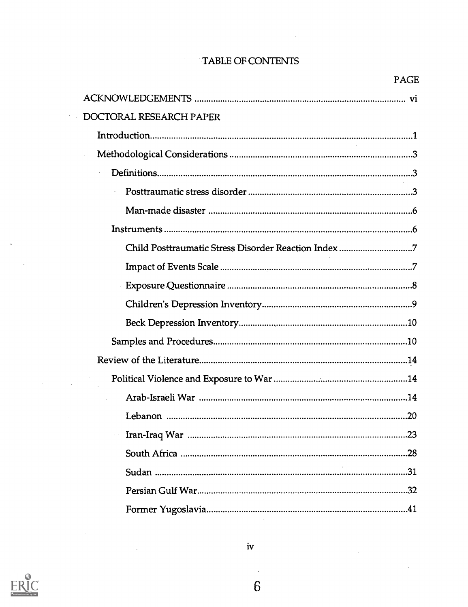### TABLE OF CONTENTS

 $\mathcal{A}^{\mathcal{A}}$ 

PAGE

 $\sim$ 

| DOCTORAL RESEARCH PAPER                             |
|-----------------------------------------------------|
|                                                     |
|                                                     |
|                                                     |
|                                                     |
|                                                     |
|                                                     |
| Child Posttraumatic Stress Disorder Reaction Index7 |
|                                                     |
|                                                     |
|                                                     |
|                                                     |
|                                                     |
|                                                     |
|                                                     |
|                                                     |
|                                                     |
|                                                     |
|                                                     |
|                                                     |
|                                                     |
|                                                     |
|                                                     |



 $\bar{z}$ 

 $\bar{z}$ 

 $\mathcal{L}_{\mathcal{A}}$ 

 $\sim$ 

 $\sim$ 

 $\ddot{\phantom{a}}$ 

 $\bar{z}$ 

iv

 $\mathcal{A}$ 6  $\ddot{\phantom{a}}$ 

 $\sim$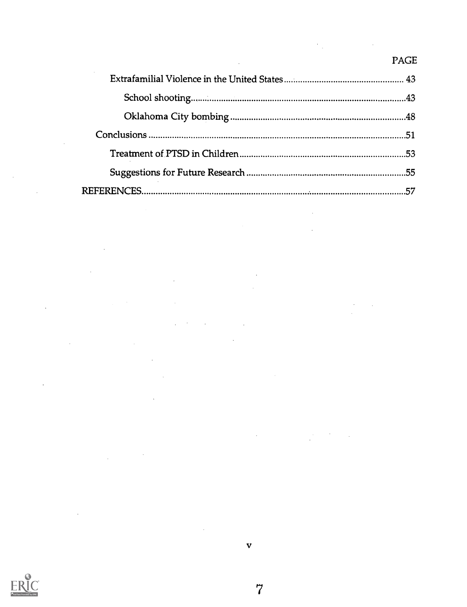### PAGE

 $\bar{\beta}$ 

 $\sim 10$ 

 $\mathcal{L}$ 

 $\label{eq:2.1} \frac{1}{\sqrt{2}}\int_{\mathbb{R}^3}\frac{1}{\sqrt{2}}\left(\frac{1}{\sqrt{2}}\right)^2\frac{1}{\sqrt{2}}\left(\frac{1}{\sqrt{2}}\right)^2\frac{1}{\sqrt{2}}\left(\frac{1}{\sqrt{2}}\right)^2\frac{1}{\sqrt{2}}\left(\frac{1}{\sqrt{2}}\right)^2.$ 



 $\mathcal{L}_{\mathcal{A}}$ 

 $\mathcal{A}$ 

 $\label{eq:2.1} \frac{1}{2} \sum_{i=1}^n \frac{1}{2} \sum_{j=1}^n \frac{1}{2} \sum_{j=1}^n \frac{1}{2} \sum_{j=1}^n \frac{1}{2} \sum_{j=1}^n \frac{1}{2} \sum_{j=1}^n \frac{1}{2} \sum_{j=1}^n \frac{1}{2} \sum_{j=1}^n \frac{1}{2} \sum_{j=1}^n \frac{1}{2} \sum_{j=1}^n \frac{1}{2} \sum_{j=1}^n \frac{1}{2} \sum_{j=1}^n \frac{1}{2} \sum_{j=1}^n \frac{$ 

 $\bar{\beta}$ 

 $\sim$ 

 $\mathcal{L}$ 

 $\sim 10^{-1}$ 

7

V

 $\overline{\phantom{a}}$ 

 $\mathcal{L}_{\text{max}}$  .

 $\boldsymbol{\gamma}$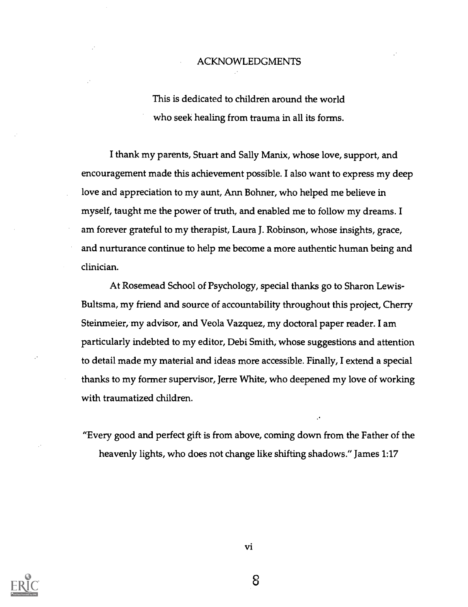#### ACKNOWLEDGMENTS

This is dedicated to children around the world who seek healing from trauma in all its forms.

I thank my parents, Stuart and Sally Manix, whose love, support, and encouragement made this achievement possible. I also want to express my deep love and appreciation to my aunt, Ann Bohner, who helped me believe in myself, taught me the power of truth, and enabled me-to follow my dreams. I am forever grateful to my therapist, Laura J. Robinson, whose insights, grace, and nurturance continue to help me become a more authentic human being and clinician.

At Rosemead School of Psychology, special thanks go to Sharon Lewis-Bultsma, my friend and source of accountability throughout this project, Cherry Steinmeier, my advisor, and Veola Vazquez, my doctoral paper reader. I am particularly indebted to my editor, Debi Smith; whose suggestions and attention to detail made my material and ideas more accessible. Finally, I extend a special thanks to my former supervisor, Jerre White, who deepened my love of working with traumatized children.

"Every good and perfect gift is from above, coming down from the Father of the heavenly lights, who does not change like shifting shadows." James 1:17



vi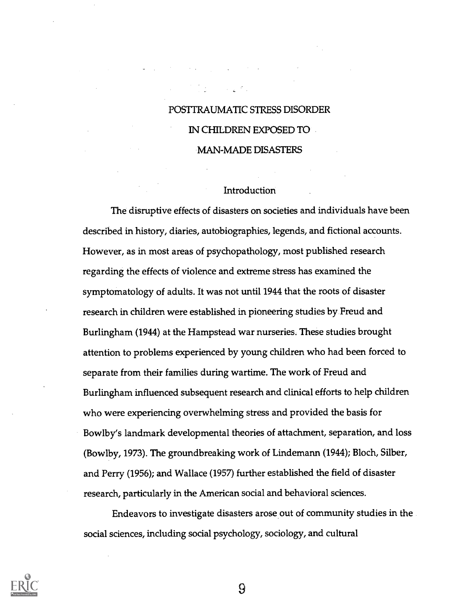## POSTTRAUMATIC STRESS DISORDER IN CHILDREN EXPOSED TO MAN-MADE DISASTERS

#### Introduction

The disruptive effects of disasters on societies and individuals have been described in history, diaries, autobiographies, legends, and fictional accounts. However, as in most areas of psychopathology, most published research regarding the effects of violence and extreme stress has examined the symptomatology of adults. It was not until 1944 that the roots of disaster research in children were established in pioneering studies by Freud and Burlingham (1944) at the Hampstead war nurseries. These studies brought attention to problems experienced by young children who had been forced to separate from their families during wartime. The work of Freud and Burlingham influenced subsequent research and clinical efforts to help children who were experiencing overwhelming stress and provided the basis for Bowlby's landmark developmental theories of attachment, separation, and loss (Bowlby, 1973). The groundbreaking work of Lindemann (1944); Bloch, Silber, and Perry (1956); and Wallace (1957) further established the field of disaster research, particularly in the American social and behavioral sciences.

Endeavors to investigate disasters arose out of community studies in the social sciences, including social psychology, sociology, and cultural

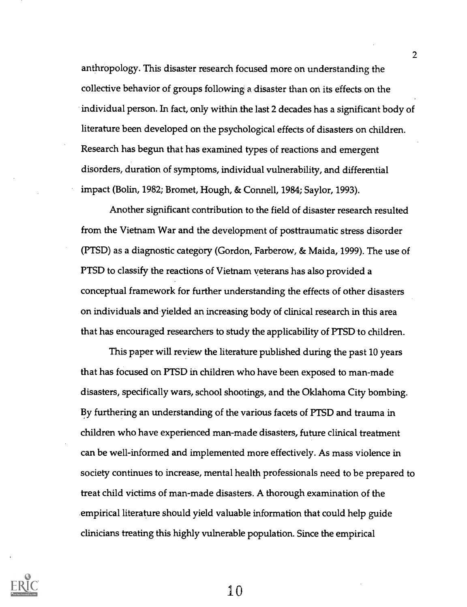anthropology. This disaster research focused more on understanding the collective behavior of groups following a disaster than on its effects on the individual person. In fact, only within the last 2 decades has a significant body of literature been developed on the psychological effects of disasters on children. Research has begun that has examined types of reactions and emergent disorders, duration of symptoms, individual vulnerability, and differential impact (Bolin, 1982; Bromet, Hough, & Connell, 1984; Saylor, 1993).

2

Another significant contribution to the field of disaster research resulted from the Vietnam War and the development of posttraumatic stress disorder (PTSD) as a diagnostic category (Gordon, Farberow, & Maida, 1999). The use of PTSD to classify the reactions of Vietnam veterans has also provided a conceptual framework for further understanding the effects of other disasters on individuals and yielded an increasing body of clinical research in this area that has encouraged researchers to study the applicability of PTSD to children.

This paper will review the literature published during the past 10 years that has focused on PTSD in children who have been exposed to man-made disasters, specifically wars, school shootings, and the Oklahoma City bombing. By furthering an understanding of the various facets of PTSD and trauma in children who have experienced man-made disasters, future clinical treatment can be well-informed and implemented more effectively. As mass violence in society continues to increase, mental health professionals need to be prepared to treat child victims of man-made disasters. A thorough examination of the empirical literature should yield valuable information that could help guide clinicians treating this highly vulnerable population. Since the empirical

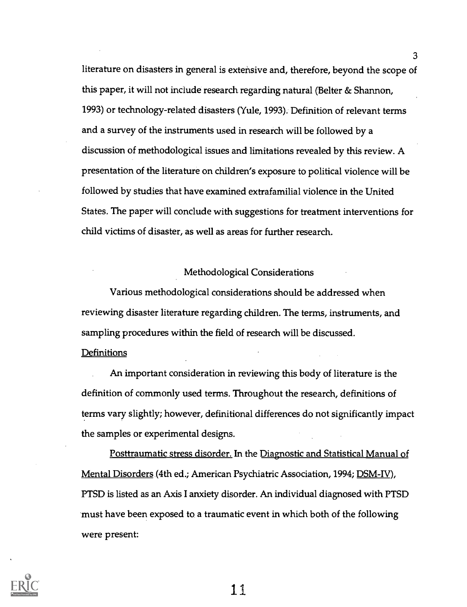literature on disasters in general is extensive and, therefore, beyond the scope of this paper, it will not include research regarding natural (Belter & Shannon, 1993) or technology-related disasters (Yule, 1993). Definition of relevant terms and a survey of the instruments used in research will be followed by a discussion of methodological issues and limitations revealed by this review. A presentation of the literature on children's exposure to political violence will be followed by studies that have examined extrafamilial violence in the United States. The paper will conclude with suggestions for treatment interventions for child victims of disaster, as well as areas for further research.

#### Methodological Considerations

Various methodological considerations should be addressed when reviewing disaster literature regarding children. The terms, instruments, and sampling procedures within the field of research will be discussed.

### **Definitions**

An important consideration in reviewing this body of literature is the definition of commonly used terms. Throughout the research, definitions of terms vary slightly; however, definitional differences do not significantly impact the samples or experimental designs.

Posttraumatic stress disorder. In the Diagnostic and Statistical Manual of Mental Disorders (4th ed.; American Psychiatric Association, 1994; DSM-IV), PTSD is listed as an Axis I anxiety disorder. An individual diagnosed with PTSD must have been exposed to a traumatic event in which both of the following were present:



11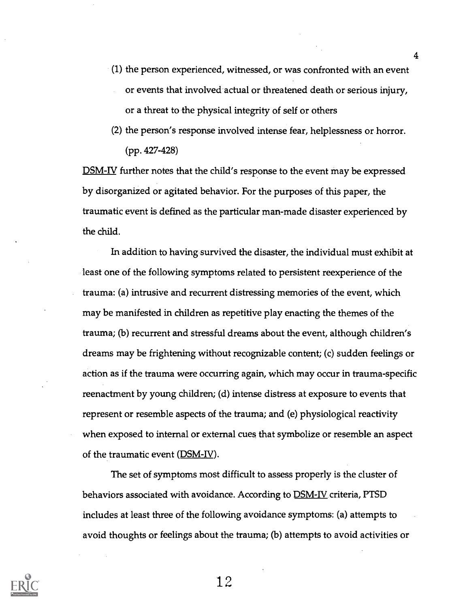- (1) the person experienced, witnessed, or was confronted with an event or events that involved actual or threatened death or serious injury, or a threat to the physical integrity of self or others
- (2) the person's response involved intense fear, helplessness or horror. (pp. 427-428)

DSM-IV further notes that the child's response to the event may be expressed by disorganized or agitated behavior. For the purposes of this paper, the traumatic event is defined as the particular man-made disaster experienced by the child.

In addition to having survived the disaster, the individual must exhibit at least one of the following symptoms related to persistent reexperience of the trauma: (a) intrusive and recurrent distressing memories of the event, which may be manifested in children as repetitive play enacting the themes of the trauma; (b) recurrent and stressful dreams about the event, although children's dreams may be frightening without recognizable content; (c) sudden feelings or action as if the trauma were occurring again, which may occur in trauma-specific reenactment by young children; (d) intense distress at exposure to events that represent or resemble aspects of the trauma; and (e) physiological reactivity when exposed to internal or external cues that symbolize or resemble an aspect of the traumatic event  $(DSM-IV)$ .

The set of symptoms most difficult to assess properly is the cluster of behaviors associated with avoidance. According to **DSM-IV** criteria, PTSD includes at least three of the following avoidance symptoms: (a) attempts to avoid thoughts or feelings about the trauma; (b) attempts to avoid activities or

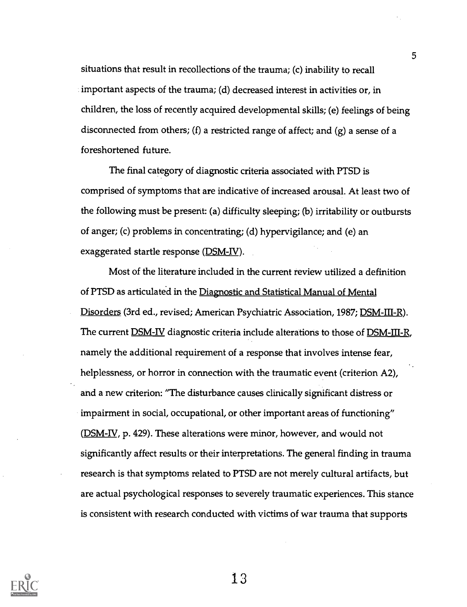situations that result in recollections of the trauma; (c) inability to recall important aspects of the trauma; (d) decreased interest in activities or, in children, the loss of recently acquired developmental skills; (e) feelings of being disconnected from others; (f) a restricted range of affect; and (g) a sense of a foreshortened future.

The final category of diagnostic criteria associated with PTSD is comprised of symptoms that are indicative of increased arousal. At least two of the following must be present: (a) difficulty sleeping; (b) irritability or outbursts of anger; (c) problems in concentrating; (d) hypervigilance; and (e) an exaggerated startle response (DSM-IV).

Most of the literature included in the current review utilized a definition of PTSD as articulated in the Diagnostic and Statistical Manual of Mental Disorders (3rd ed., revised; American Psychiatric Association, 1987; DSM-III-R). The current **DSM-IV** diagnostic criteria include alterations to those of **DSM-III-R**, namely the additional requirement of a response that involves intense fear, helplessness, or horror in connection with the traumatic event (criterion A2), and a new criterion: "The disturbance causes clinically significant distress or impairment in social, occupational, or other important areas of functioning" (DSM-IV, p. 429). These alterations were minor, however, and would not significantly affect results or their interpretations. The general finding in trauma research is that symptoms related to PTSD are not merely cultural artifacts, but are actual psychological responses to severely traumatic experiences. This stance is consistent with research conducted with victims of war trauma that supports

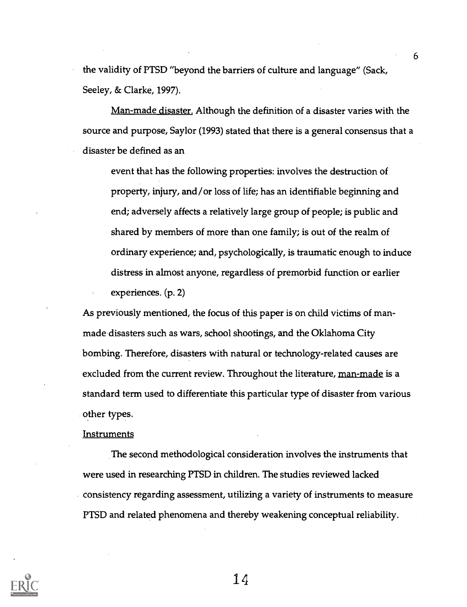the validity of PTSD "beyond the barriers of culture and language" (Sack, Seeley, & Clarke, 1997).

Man-made disaster. Although the definition of a disaster varies with the source and purpose, Saylor (1993) stated that there is a general consensus that a disaster be defined as an

event that has the following properties: involves the destruction of property, injury, and/or loss of life; has an identifiable beginning and end; adversely affects a relatively large group of people; is public and shared by members of more than one family; is out of the realm of ordinary experience; and, psychologically, is traumatic enough to induce distress in almost anyone, regardless of premorbid function or earlier experiences. (p. 2)

As previously mentioned, the focus of this paper is on child victims of manmade disasters such as wars, school shootings, and the Oklahoma City bombing. Therefore, disasters with natural or technology-related causes are excluded from the current review. Throughout the literature, man-made is a standard term used to differentiate this particular type of disaster from various other types.

#### **Instruments**

The second methodological consideration involves the instruments that were used in researching PTSD in children. The studies reviewed lacked consistency regarding assessment, utilizing a variety of instruments to measure PTSD and related phenomena and thereby weakening conceptual reliability.



 $14$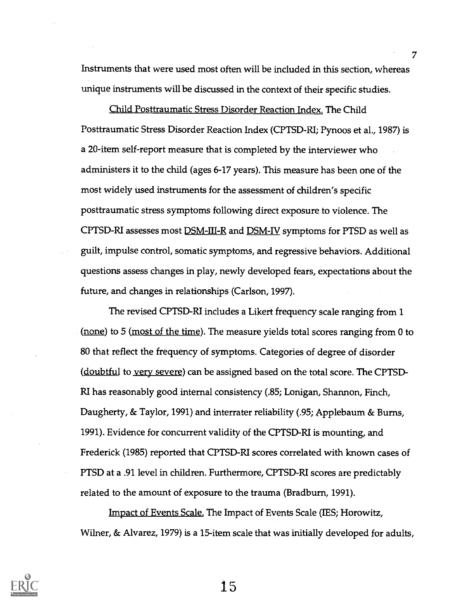Instruments that were used most often will be included in this section, whereas unique instruments will be discussed in the context of their specific studies.

7

Child Posttraumatic Stress Disorder Reaction Index. The Child Posttraumatic Stress Disorder Reaction Index (CPTSD-RI; Pynoos et al., 1987) is a 20-item self-report measure that is completed by the interviewer who administers it to the child (ages 6-17 years). This measure has been one of the most widely used instruments for the assessment of children's specific posttraumatic stress symptoms following direct exposure to violence. The CPTSD-RI assesses most <u>DSM-III-R</u> and <u>DSM-IV</u> symptoms for PTSD as well as guilt, impulse control, somatic symptoms, and regressive behaviors. Additional questions assess changes in play, newly developed fears, expectations about the future, and changes in relationships (Carlson, 1997).

The revised CPTSD-RI includes a Likert frequency scale ranging from 1 (none) to 5 (most of the time). The measure yields total scores ranging from 0 to 80 that reflect the frequency of symptoms. Categories of degree of disorder (doubtful to very severe) can be assigned based on the total score. The CPTSD-RI has reasonably good internal consistency (.85; Lonigan, Shannon, Finch, Daugherty, & Taylor, 1991) and interrater reliability (.95; Applebaum & Burns, 1991). Evidence for concurrent validity of the CPTSD-RI is mounting, and Frederick (1985) reported that CPTSD-RI scores correlated with known cases of PTSD at a .91 level in children. Furthermore, CPTSD-RI scores are predictably related to the amount of exposure to the trauma (Bradburn, 1991).

Impact of Events Scale. The Impact of Events Scale (IES; Horowitz, Wilner, & Alvarez, 1979) is a 15-item scale that was initially developed for adults,

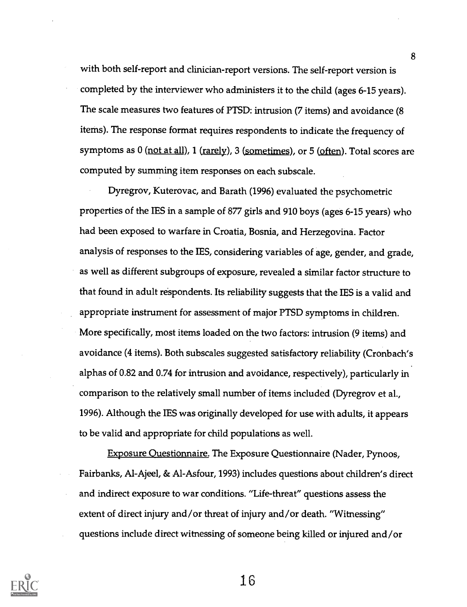with both self-report and clinician-report versions. The self-report version is completed by the interviewer who administers it to the child (ages 6-15 years). The scale measures two features of PTSD: intrusion (7 items) and avoidance (8 items). The response format requires respondents to indicate the frequency of symptoms as 0 (not at all), 1 (rarely), 3 (sometimes), or 5 (often). Total scores are computed by summing item responses on each subscale.

Dyregrov, Kuterovac, and Barath (1996) evaluated the psychometric properties of the IES in a sample of 877 girls and 910 boys (ages 6-15 years) who had been exposed to warfare in Croatia, Bosnia, and Herzegovina. Factor analysis of responses to the IES, considering variables of age, gender, and grade, as well as different subgroups of exposure, revealed a similar factor structure to that found in adult respondents. Its reliability suggests that the IES is a valid and appropriate instrument for assessment of major PTSD symptoms in children. More specifically, most items loaded on the two factors: intrusion (9 items) and avoidance (4 items). Both subscales suggested satisfactory reliability (Cronbach's alphas of 0.82 and 0.74 for intrusion and avoidance, respectively), particularly in comparison to the relatively small number of items included (Dyregrov et al., 1996). Although the IES was originally developed for use with adults, it appears to be valid and appropriate for child populations as well.

Exposure Questionnaire. The Exposure Questionnaire (Nader, Pynoos, Fairbanks, Al-Ajeel, & Al-Asfour, 1993) includes questions about children's direct and indirect exposure to war conditions. "Life-threat" questions assess the extent of direct injury and/or threat of injury and/or death. "Witnessing" questions include direct witnessing of someone being killed or injured and/or



16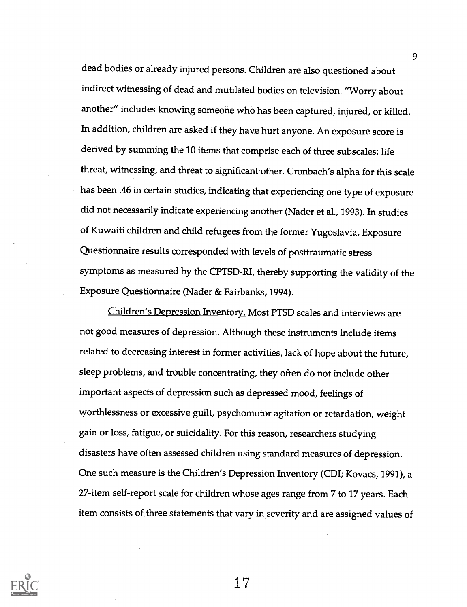dead bodies or already injured persons. Children are also questioned about indirect witnessing of dead and mutilated bodies on television. "Worry about another" includes knowing someone who has been captured, injured, or killed. In addition, children are asked if they have hurt anyone. An exposure score is derived by summing the 10 items that comprise each of three subscales: life threat, witnessing, and threat to significant other. Cronbach's alpha for this scale has been .46 in certain studies, indicating that experiencing one type of exposure did not necessarily indicate experiencing another (Nader et al., 1993). In studies of Kuwaiti children and child refugees from the former Yugoslavia, Exposure Questionnaire results corresponded with levels of posttraumatic stress symptoms as measured by the CPTSD-RI, thereby supporting the validity of the Exposure Questionnaire (Nader & Fairbanks, 1994).

Children's Depression Inventory. Most PTSD scales and interviews are not good measures of depression. Although these instruments include items related to decreasing interest in former activities, lack of hope about the future, sleep problems, and trouble concentrating, they often do not include other important aspects of depression such as depressed mood, feelings of worthlessness or excessive guilt, psychomotor agitation or retardation, weight gain or loss, fatigue, or suicidality. For this reason, researchers studying disasters have often assessed children using standard measures of depression. One such measure is the Children's Depression Inventory (CDI; Kovacs, 1991), a 27-item self-report scale for children whose ages range from 7 to 17 years. Each item consists of three statements that vary in severity and are assigned values of

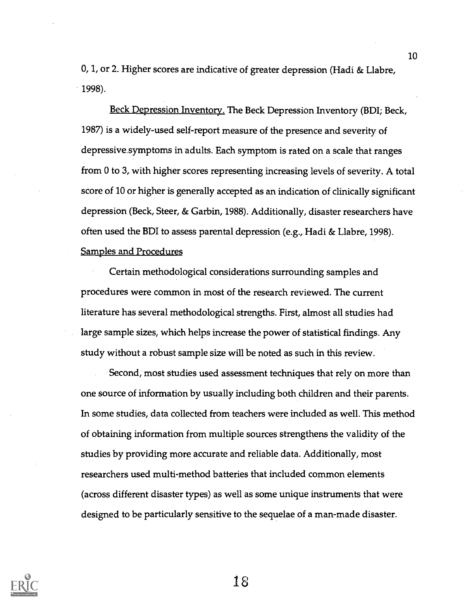0, 1, or 2. Higher scores are indicative of greater depression (Hadi & Llabre, 1998).

Beck Depression Inventory. The Beck Depression Inventory (BDI; Beck, 1987) is a widely-used self-report measure of the presence and severity of depressive.symptoms in adults. Each symptom is rated on a scale that ranges from 0 to 3, with higher scores representing increasing levels of severity. A total score of 10 or higher is generally accepted as an indication of clinically significant depression (Beck, Steer, & Garbin, 1988). Additionally, disaster researchers have often used the BDI to assess parental depression (e.g., Hadi & Llabre, 1998). Samples and Procedures

Certain methodological considerations surrounding samples and procedures were common in most of the research reviewed. The current literature has several methodological strengths. First, almost all studies had large sample sizes, which helps increase the power of statistical findings. Any study without a robust sample size will be noted as such in this review.

Second, most studies used assessment techniques that rely on more than one source of information by usually including both children and their parents. In some studies, data collected from teachers were included as well. This method of obtaining information from multiple sources strengthens the validity of the studies by providing more accurate and reliable data. Additionally, most researchers used multi-method batteries that included common elements (across different disaster types) as well as some unique instruments that were designed to be particularly sensitive to the sequelae of a man-made disaster.



1.8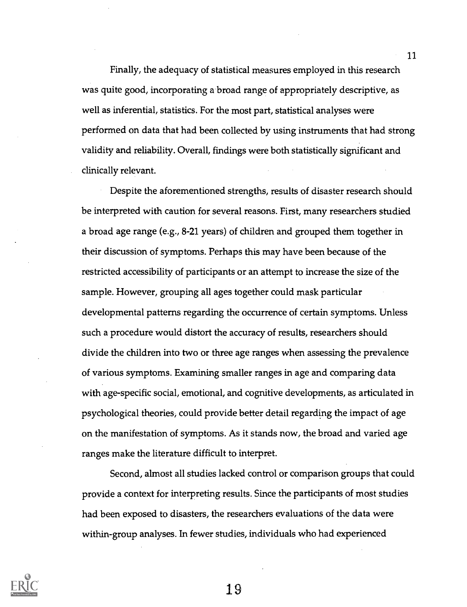Finally, the adequacy of statistical measures employed in this research was quite good, incorporating a broad range of appropriately descriptive, as well as inferential, statistics. For the most part, statistical analyses were performed on data that had been collected by using instruments that had strong validity and reliability. Overall, findings were both statistically significant and clinically relevant.

Despite the aforementioned strengths, results of disaster research should be interpreted with caution for several reasons. First, many researchers studied a broad age range (e.g., 8-21 years) of children and grouped them together in their discussion of symptoms. Perhaps this may have been because of the restricted accessibility of participants or an attempt to increase the size of the sample. However, grouping all ages together could mask particular developmental patterns regarding the occurrence of certain symptoms. Unless such a procedure would distort the accuracy of results, researchers should divide the children into two or three age ranges when assessing the prevalence of various symptoms. Examining smaller ranges in age and comparing data with age-specific social, emotional, and cognitive developments, as articulated in psychological theories, could provide better detail regarding the impact of age on the manifestation of symptoms. As it stands now, the broad and varied age ranges make the literature difficult to interpret.

Second, almost all studies lacked control or comparison groups that could provide a context for interpreting results. Since the participants of most studies had been exposed to disasters, the researchers evaluations of the data were within-group analyses. In fewer studies, individuals who had experienced



19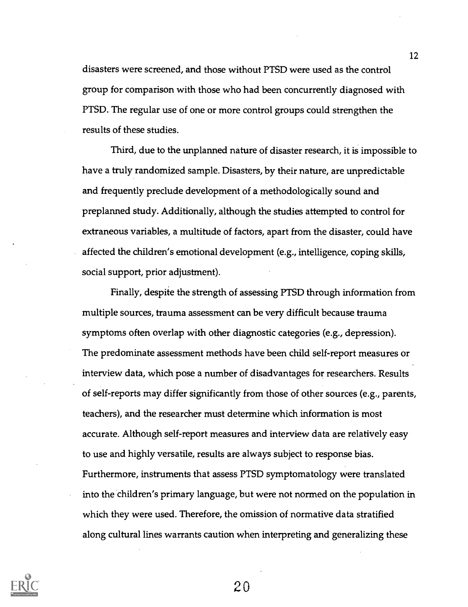disasters were screened, and those without PTSD were used as the control group for comparison with those who had been concurrently diagnosed with PTSD. The regular use of one or more control groups could strengthen the results of these studies.

Third, due to the unplanned nature of disaster research, it is impossible to have a truly randomized sample. Disasters, by their nature, are unpredictable and frequently preclude development of a methodologically sound and preplanned study. Additionally, although the studies attempted to control for extraneous variables, a multitude of factors, apart from the disaster, could have affected the children's emotional development (e.g., intelligence, coping skills, social support, prior adjustment).

Finally, despite the strength of assessing PTSD through information from multiple sources, trauma assessment can be very difficult because trauma symptoms often overlap with other diagnostic categories (e.g., depression). The predominate assessment methods have been child self-report measures or interview data, which pose a number of disadvantages for researchers. Results of self-reports may differ significantly from those of other sources (e.g., parents, teachers), and the researcher must determine which information is most accurate. Although self-report measures and interview data are relatively easy to use and highly versatile, results are always subject to response bias. Furthermore, instruments that assess PTSD symptomatology were translated into the children's primary language, but were not normed on the population in which they were used. Therefore, the omission of normative data stratified along cultural lines warrants caution when interpreting and generalizing these



20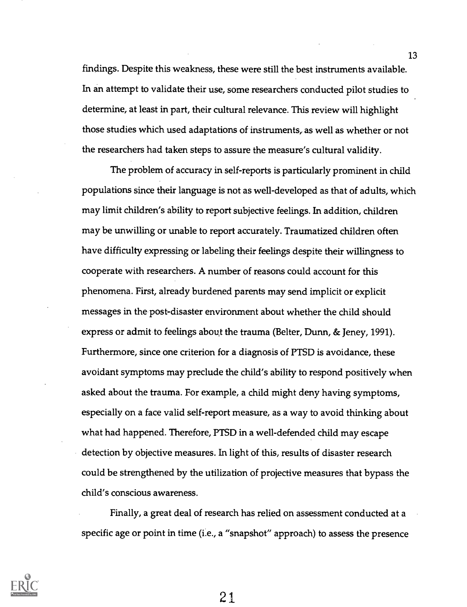findings. Despite this weakness, these were still the best instruments available. In an attempt to validate their use, some researchers conducted pilot studies to determine, at least in part, their cultural relevance. This review will highlight those studies which used adaptations of instruments, as well as whether or not the researchers had taken steps to assure the measure's cultural validity.

The problem of accuracy in self-reports is particularly prominent in child populations since their language is not as well-developed as that of adults, which may limit children's ability to report subjective feelings. In addition, children may be unwilling or unable to report accurately. Traumatized children often have difficulty expressing or labeling their feelings despite their willingness to cooperate with researchers. A number of reasons could account for this phenomena. First, already burdened parents may send implicit or explicit messages in the post-disaster environment about whether the child should express or admit to feelings about the trauma (Belter, Dunn, & Jeney, 1991). Furthermore, since one criterion for a diagnosis of PTSD is avoidance, these avoidant symptoms may preclude the child's ability to respond positively when asked about the trauma. For example, a child might deny having symptoms, especially on a face valid self-report measure, as a way to avoid thinking about what had happened. Therefore, PTSD in a well-defended child may escape detection by objective measures. In light of this, results of disaster research could be strengthened by the utilization of projective measures that bypass the child's conscious awareness.

Finally, a great deal of research has relied on assessment conducted at a specific age or point in time (i.e., a "snapshot" approach) to assess the presence

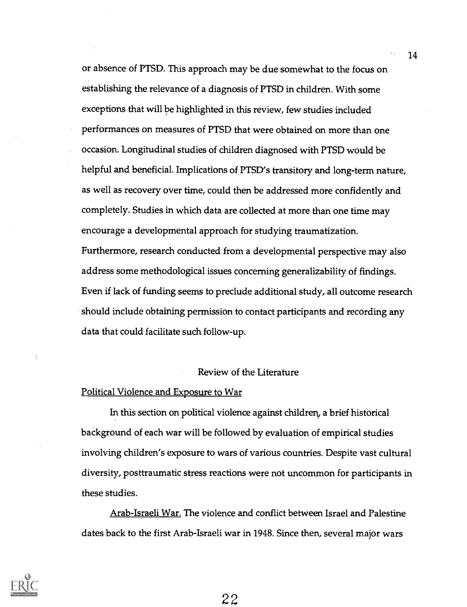or absence of PTSD. This approach may be due somewhat to the focus on establishing the relevance of a diagnosis of PTSD in children. With some exceptions that will be highlighted in this review, few studies included performances on measures of PTSD that were obtained on more than one occasion. Longitudinal studies of children diagnosed with PTSD would be helpful and beneficial. Implications of PTSD's transitory and long-term nature, as well as recovery over time, could then be addressed more confidently and completely. Studies in which data are collected at more than one time may encourage a developmental approach for studying traumatization. Furthermore, research conducted from a developmental perspective may also address some methodological issues concerning generalizability of findings. Even if lack of funding seems to preclude additional study, all outcome research should include obtaining permission to contact participants and recording any data that could facilitate such follow-up.

#### Review of the Literature

#### Political Violence and Exposure to War

In this section on political violence against children, a brief historical baCkground of each war will be followed by evaluation of empirical studies involving children's exposure to wars of various countries. Despite vast cultural diversity, posttraumatic stress reactions were not uncommon for participants in these studies.

Arab-Israeli War. The violence and conflict between Israel and Palestine dates back to the first Arab-Israeli war in 1948. Since then, several major wars



22

 $\mathcal{V}_2$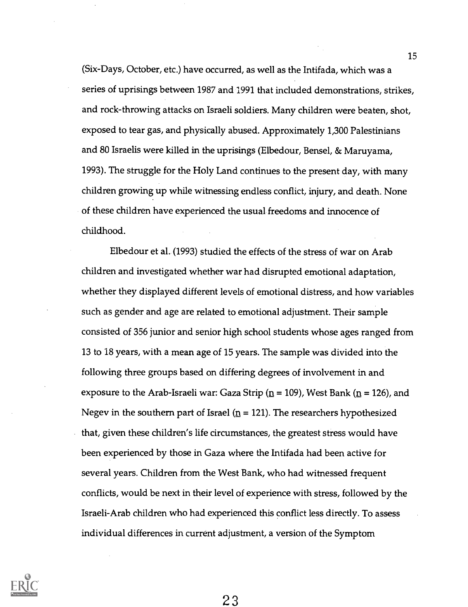(Six-Days, October, etc.) have occurred, as well as the Intifada, which was a series of uprisings between 1987 and 1991 that included demonstrations, strikes, and rock-throwing attacks on Israeli soldiers. Many children were beaten, shot, exposed to tear gas, and physically abused. Approximately 1,300 Palestinians and 80 Israelis were killed in the uprisings (Elbedour, Bensel, & Maruyama, 1993). The struggle for the Holy Land continues to the present day, with many children growing up while witnessing endless conflict, injury, and death. None of these children have experienced the usual freedoms and innocence of childhood.

Elbedour et al. (1993) studied the effects of the stress of war on Arab children and investigated whether war had disrupted emotional adaptation, whether they displayed different levels of emotional distress, and how variables such as gender and age are related to emotional adjustment. Their sample consisted of 356 junior and senior high school students whose ages ranged from 13 to 18 years, with a mean age of 15 years. The sample was divided into the following three groups based on differing degrees of involvement in and exposure to the Arab-Israeli war: Gaza Strip ( $n = 109$ ), West Bank ( $n = 126$ ), and Negev in the southern part of Israel ( $n = 121$ ). The researchers hypothesized that, given these children's life circumstances, the greatest stress would have been experienced by those in Gaza where the Intifada had been active for several years. Children from the West Bank, who had witnessed frequent conflicts, would be next in their level of experience with stress, followed by the Israeli-Arab children who had experienced this conflict less directly. To assess individual differences in current adjustment, a version of the Symptom

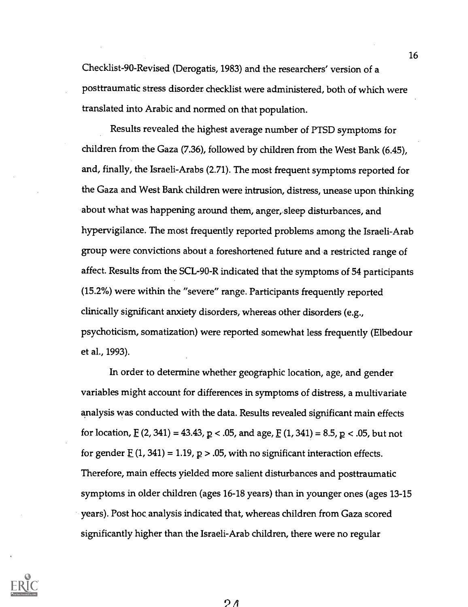Checklist-90-Revised (Derogatis, 1983) and the researchers' version of a posttraumatic stress disorder checklist were administered, both of which were translated into Arabic and normed on that population.

Results revealed the highest average number of PTSD symptoms for children from the Gaza (7.36), followed by children from the West Bank (6.45), and, finally, the Israeli-Arabs (2.71). The most frequent symptoms reported for the Gaza and West Bank children were intrusion, distress, unease upon thinking about what was happening around them, anger, sleep disturbances, and hypervigilance. The most frequently reported problems among the Israeli-Arab group were convictions about a foreshortened future and a restricted range of affect. Results from the SCL-90-R indicated that the symptoms of 54 participants (15.2%) were within the "severe" range. Participants frequently reported clinically significant anxiety disorders, whereas other disorders (e.g., psychoticism, somatization) were reported somewhat less frequently (Elbedour et al., 1993).

In order to determine whether geographic location, age, and gender variables might account for differences in symptoms of distress, a multivariate analysis was conducted with the data. Results revealed significant main effects for location,  $E(2, 341) = 43.43$ ,  $p < .05$ , and age,  $E(1, 341) = 8.5$ ,  $p < .05$ , but not for gender  $\underline{F}$  (1, 341) = 1.19,  $\underline{p}$  > .05, with no significant interaction effects. Therefore, main effects yielded more salient disturbances and posttraumatic symptoms in older children (ages 16-18 years) than in younger ones (ages 13-15 years). Post hoc analysis indicated that, whereas children from Gaza scored significantly higher than the Israeli-Arab children, there were no regular



2 A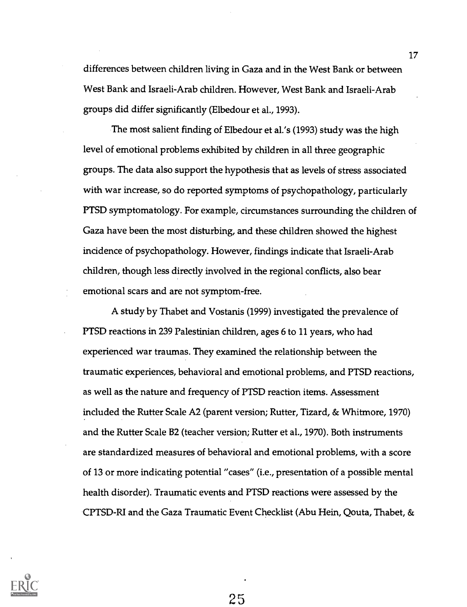differences between children living in Gaza and in the West Bank or between West Bank and Israeli-Arab children. However, West Bank and Israeli-Arab groups did differ significantly (Elbedour et al., 1993).

The most salient finding of Elbedour et al.'s (1993) study was the high level of emotional problems exhibited by children in all three geographic groups. The data also support the hypothesis that as levels of stress associated with war increase, so do reported symptoms of psychopathology, particularly PTSD symptomatology. For example, circumstances surrounding the children of Gaza have been the most disturbing, and these children showed the highest incidence of psychopathology. However, findings indicate that Israeli-Arab children, though less directly involved in the regional conflicts, also bear emotional scars and are not symptom-free.

A study by Thabet and Vostanis (1999) investigated the prevalence of PTSD reactions in 239 Palestinian children, ages 6 to 11 years, who had experienced war traumas. They examined the relationship between the traumatic experiences, behavioral and emotional problems, and PTSD reactions, as well as the nature and frequency of PTSD reaction items. Assessment included the Rutter Scale A2 (parent version; Rutter, Tizard, & Whitmore, 1970) and the Rutter Scale B2 (teacher version; Rutter et al., 1970). Both instruments are standardized measures of behavioral and emotional problems, with a score of 13 or more indicating potential "cases" (i.e., presentation of a possible mental health disorder). Traumatic events and PTSD reactions were assessed by the CPTSD-RI and the Gaza Traumatic Event Checklist (Abu Hein, Qouta, Thabet, &

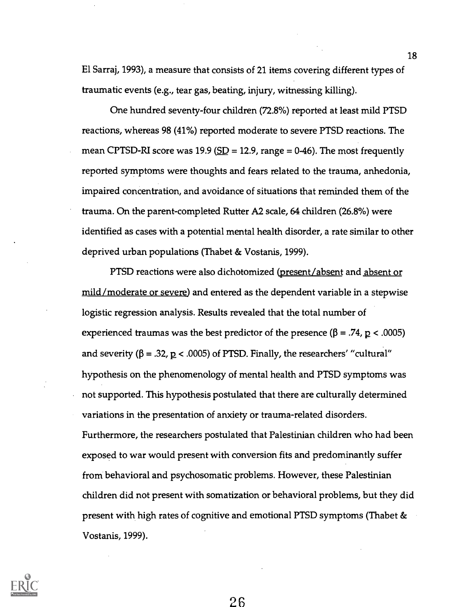El Sarraj, 1993), a measure that consists of 21 items covering different types of traumatic events (e.g., tear gas, beating, injury, witnessing killing).

One hundred seventy-four children (72.8%) reported at least mild PTSD reactions, whereas 98 (41%) reported moderate to severe PTSD reactions. The mean CPTSD-RI score was 19.9 ( $SD = 12.9$ , range = 0-46). The most frequently reported symptoms were thoughts and fears related to the trauma, anhedonia, impaired concentration, and avoidance of situations that reminded them of the trauma. On the parent-completed Rutter A2 scale, 64 children (26.8%) were identified as cases with a potential mental health disorder, a rate similar to other deprived urban populations (Thabet & Vostanis, 1999).

PTSD reactions were also dichotomized (present/absent and absent or mild/moderate or severe) and entered as the dependent variable in a stepwise logistic regression analysis. Results revealed that the total number of experienced traumas was the best predictor of the presence ( $\beta = .74$ ,  $p < .0005$ ) and severity ( $\beta = .32$ ,  $p < .0005$ ) of PTSD. Finally, the researchers' "cultural" hypothesis on the phenomenology of mental health and PTSD symptoms was not supported. This hypothesis postulated that there are culturally determined variations in the presentation of anxiety or trauma-related disorders. Furthermore, the researchers postulated that Palestinian children who had been exposed to war would present with conversion fits and predominantly suffer from behavioral and psychosomatic problems. However, these Palestinian children did not present with somatization or behavioral problems, but they did present with high rates of cognitive and emotional PTSD symptoms (Thabet & Vostanis, 1999).

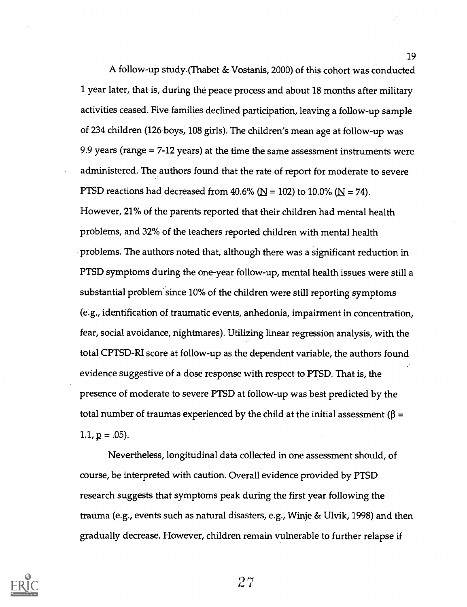A follow-up study (Thabet & Vostanis, 2000) of this cohort was conducted 1 year later, that is, during the peace process and about 18 months after military activities ceased. Five families declined participation, leaving a follow-up sample of 234 children (126 boys, 108 girls). The children's mean age at follow-up was 9.9 years (range = 7-12 years) at the time the same assessment instruments were administered. The authors found that the rate of report for moderate to severe PTSD reactions had decreased from 40.6% ( $\mathbf{N} = 102$ ) to 10.0% ( $\mathbf{N} = 74$ ). However, 21% of the parents reported that their children had mental health problems, and 32% of the teachers reported children with mental health problems. The authors noted that, although there was a significant reduction in PTSD symptoms during the one-year follow-up, mental health issues were still a substantial problem since 10% of the children were still reporting symptoms (e.g., identification of traumatic events, anhedonia, impairment in concentration, fear, social avoidance, nightmares). Utilizing linear regression analysis, with the total CPTSD-RI score at follow-up as the dependent variable, the authors found evidence suggestive of a dose response with respect to PTSD. That is, the presence of moderate to severe PTSD at follow-up was best predicted by the total number of traumas experienced by the child at the initial assessment ( $\beta$  =  $1.1, p = .05$ ).

19

Nevertheless, longitudinal data collected in one assessment should, of course, be interpreted with caution. Overall evidence provided by PTSD research suggests that symptoms peak during the first year following the trauma (e.g., events such as natural disasters, e.g., Winje & Ulvik, 1998) and then gradually decrease. However, children remain vulnerable to further relapse if

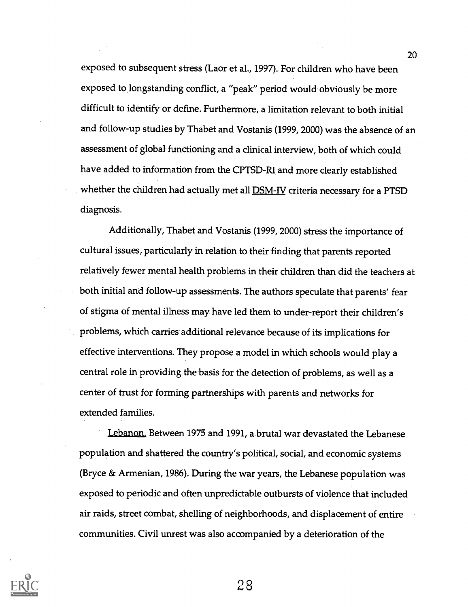exposed to subsequent stress (Laor et al., 1997). For children who have been exposed to longstanding conflict, a "peak" period would obviously be more difficult to identify or define. Furthermore, a limitation relevant to both initial and follow-up studies by Thabet and Vostanis (1999, 2000) was the absence of an assessment of global functioning and a clinical interview, both of which could have added to information from the CPTSD-RI and more clearly established whether the children had actually met all **DSM-IV** criteria necessary for a PTSD diagnosis.

Additionally, Thabet and Vostanis (1999, 2000) stress the importance of cultural issues, particularly in relation to their finding that parents reported relatively fewer mental health problems in their children than did the teachers at both initial and follow-up assessments. The authors speculate that parents' fear of stigma of mental illness may have led them to under-report their children's problems, which carries additional relevance because of its implications for effective interventions. They propose a model in which schools would play a central role in providing the basis for the detection of problems, as well as a center of trust for forming partnerships with parents and networks for extended families.

Lebanon. Between 1975 and 1991, a brutal war devastated the Lebanese population and shattered the country's political, social, and economic systems (Bryce & Armenian, 1986). During the war years, the Lebanese population was exposed to periodic and often unpredictable outbursts of violence that included air raids, street combat, shelling of neighborhoods, and displacement of entire communities. Civil unrest was also accompanied by a deterioration of the

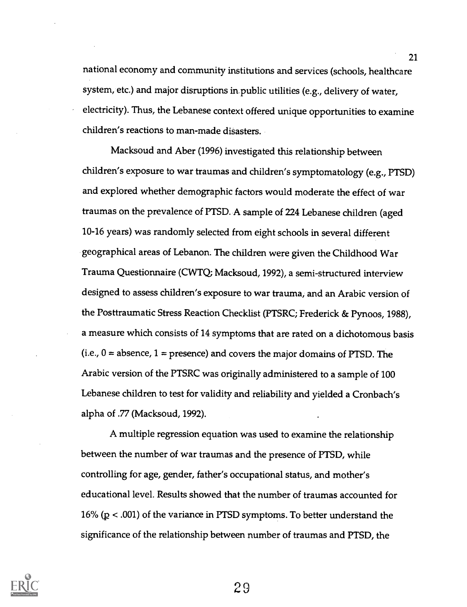national economy and community institutions and services (schools, healthcare system, etc.) and major disruptions impublic utilities (e.g., delivery of water, electricity). Thus, the Lebanese context offered unique opportunities to examine children's reactions to man-made disasters.

Macksoud and Aber (1996) investigated this relationship between children's exposure to war traumas and children's symptomatology (e.g., PTSD) and explored whether demographic factors would moderate the effect of war traumas on the prevalence of PTSD. A sample of 224 Lebanese children (aged 10-16 years) was randomly selected from eight schools in several different geographical areas of Lebanon. The children were given the Childhood War Trauma Questionnaire (CWTQ; Macksoud, 1992), a semi-structured interview designed to assess children's exposure to war trauma, and an Arabic version of the Posttraumatic Stress Reaction Checklist (PTSRC; Frederick & Pynoos, 1988), a measure which consists of 14 symptoms that are rated on a dichotomous basis  $(i.e., 0 = absence, 1 = presence)$  and covers the major domains of PTSD. The Arabic version of the PTSRC was originally administered to a sample of 100 Lebanese children to test for validity and reliability and yielded a Cronbach's alpha of .77 (Macksoud, 1992).

A multiple regression equation was used to examine the relationship between the number of war traumas and the presence of PTSD, while controlling for age, gender, father's occupational status, and mother's educational level. Results showed that the number of traumas accounted for 16% ( $p < .001$ ) of the variance in PTSD symptoms. To better understand the significance of the relationship between number of traumas and PTSD, the

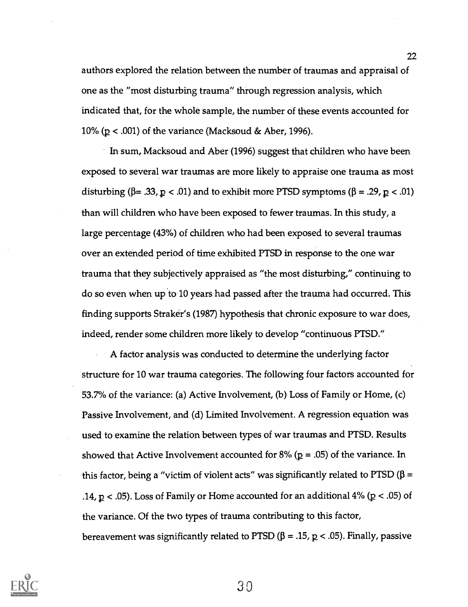authors explored the relation between the number of traumas and appraisal of one as the "most disturbing trauma" through regression analysis, which indicated that, for the whole sample, the number of these events accounted for 10% ( $p < .001$ ) of the variance (Macksoud & Aber, 1996).

In sum, Macksoud and Aber (1996) suggest that children who have been exposed to several war traumas are more likely to appraise one trauma as most disturbing ( $\beta = .33$ ,  $p < .01$ ) and to exhibit more PTSD symptoms ( $\beta = .29$ ,  $p < .01$ ) than will children who have been exposed to fewer traumas. In this study, a large percentage (43%) of children who had been exposed to several traumas over an extended period of time exhibited PTSD in response to the one war trauma that they subjectively appraised as "the most disturbing," continuing to do so even when up to 10 years had passed after the trauma had occurred. This finding supports Straker's (1987) hypothesis that chronic exposure to war does, indeed, render some children more likely to develop "continuous PTSD."

A factor analysis was conducted to determine the underlying factor structure for 10 war trauma categories. The following four factors accounted for 53.7% of the variance: (a) Active Involvement, (b) Loss of Family or Home, (c) Passive Involvement, and (d) Limited Involvement. A regression equation was used to examine the relation between types of war traumas and PTSD. Results showed that Active Involvement accounted for 8% ( $p = .05$ ) of the variance. In this factor, being a "victim of violent acts" was significantly related to PTSD ( $\beta$  = .14,  $p < .05$ ). Loss of Family or Home accounted for an additional 4% ( $p < .05$ ) of the variance. Of the two types of trauma contributing to this factor, bereavement was significantly related to PTSD ( $\beta = .15$ ,  $p < .05$ ). Finally, passive

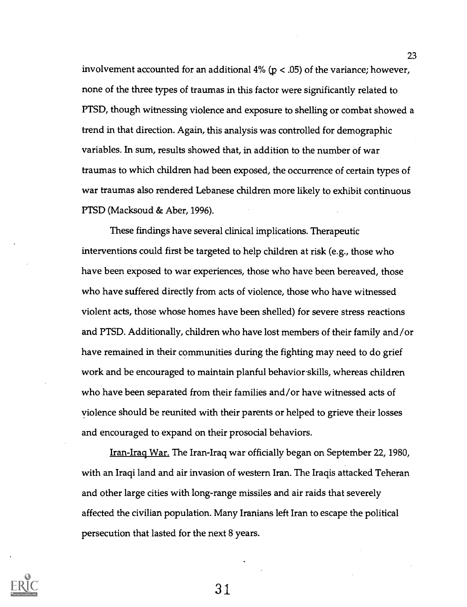involvement accounted for an additional 4% ( $p < .05$ ) of the variance; however, none of the three types of traumas in this factor were significantly related to PTSD, though witnessing violence and exposure to shelling or combat showed a trend in that direction. Again, this analysis was controlled for demographic variables. In sum, results showed that, in addition to the number of war traumas to which children had been exposed, the occurrence of certain types of war traumas also rendered Lebanese children more likely to exhibit continuous PTSD (Macksoud & Aber, 1996).

These findings have several clinical implications. Therapeutic interventions could first be targeted to help children at risk (e.g., those who have been exposed to war experiences, those who have been bereaved, those who have suffered directly from acts of violence, those who have witnessed violent acts, those whose homes have been shelled) for severe stress reactions and PTSD. Additionally, children who have lost members of their family and/or have remained in their communities during the fighting may need to do grief work and be encouraged to maintain planful behavior skills, whereas children who have been separated from their families and/or have witnessed acts of violence should be reunited with their parents or helped to grieve their losses and encouraged to expand on their prosocial behaviors.

Iran-Iraq War. The Iran-Iraq war officially began on September 22, 1980, with an Iraqi land and air invasion of western Iran. The Iraqis attacked Teheran and other large cities with long-range missiles and air raids that severely affected the civilian population. Many Iranians left Iran to escape the political persecution that lasted for the next 8 years.

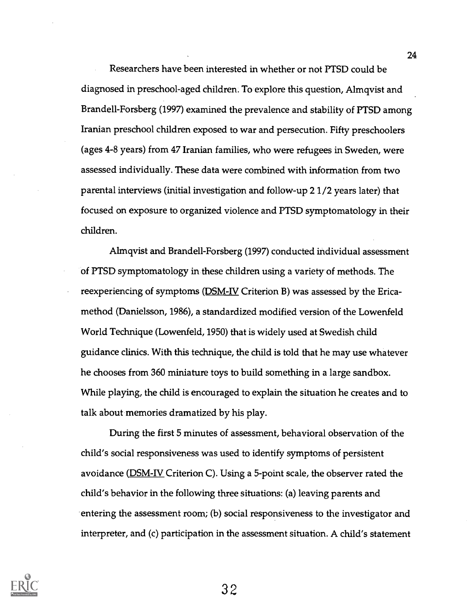Researchers have been interested in whether or not PTSD could be diagnosed in preschool-aged children. To explore this question, Almqvist and Brandell-Forsberg (1997) examined the prevalence and stability of PTSD among Iranian preschool children exposed to war and persecution. Fifty preschoolers (ages 4-8 years) from 47 Iranian families, who were refugees in Sweden, were assessed individually. These data were combined with information from two parental interviews (initial investigation and follow-up 2 1/2 years later) that focused on exposure to organized violence and PTSD symptomatology in their children.

Almqvist and Brandell-Forsberg (1997) conducted individual assessment of PTSD symptomatology in these children using a variety of methods. The reexperiencing of symptoms (DSM-IV Criterion B) was assessed by the Ericamethod (Danielsson, 1986), a standardized modified version of the Lowenfeld World Technique (Lowenfeld, 1950) that is widely used at Swedish child guidance clinics. With this technique, the child is told that he may use whatever he chooses from 360 miniature toys to build something in a large sandbox. While playing, the child is encouraged to explain the situation he creates and to talk about memories dramatized by his play.

During the first 5 minutes of assessment, behavioral observation of the child's social responsiveness was used to identify symptoms of persistent avoidance (**DSM-IV** Criterion C). Using a 5-point scale, the observer rated the child's behavior in the following three situations: (a) leaving parents and entering the assessment room; (b) social responsiveness to the investigator and interpreter, and (c) participation in the assessment situation. A child's statement

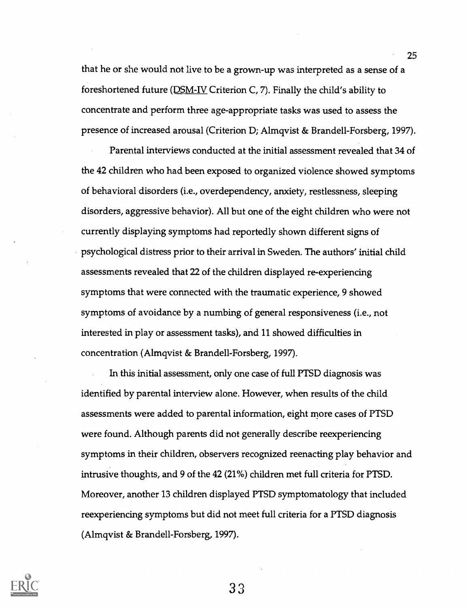that he or she would not live to be a grown-up was interpreted as a sense of a foreshortened future ( $\underline{DSM-IV}$  Criterion C, 7). Finally the child's ability to concentrate and perform three age-appropriate tasks was used to assess the presence of increased arousal (Criterion D; Almqvist & Brandell-Forsberg, 1997).

Parental interviews conducted at the initial assessment revealed that 34 of the 42 children who had been exposed to organized violence showed symptoms of behavioral disorders (i.e., overdependency, anxiety, restlessness, sleeping disorders, aggressive behavior). All but one of the eight children who were not currently displaying symptoms had reportedly shown different signs of psychological distress prior to their arrival in Sweden. The authors' initial child assessments revealed that 22 of the children displayed re-experiencing symptoms that were connected with the traumatic experience, 9 showed symptoms of avoidance by a numbing of general responsiveness (i.e., not interested in play or assessment tasks), and 11 showed difficulties in concentration (Almqvist & Brandell-Forsberg, 1997).

In this initial assessment, only one case of full PTSD diagnosis was identified by parental interview alone. However, when results of the child assessments were added to parental information, eight more cases of PTSD were found. Although parents did not generally describe reexperiencing symptoms in their children, observers recognized reenacting play behavior and intrusive thoughts, and 9 of the 42 (21%) children met full criteria for PTSD. Moreover, another 13 children displayed PTSD symptomatology that included reexperiencing symptoms but did not meet full criteria for a PTSD diagnosis (Almqvist & Brandell-Forsberg, 1997).



33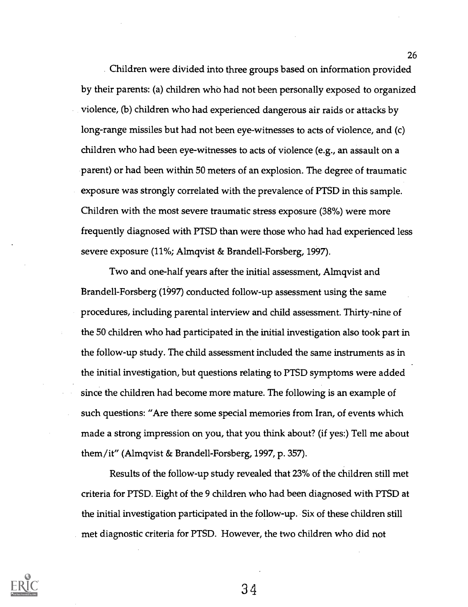Children were divided into three groups based on information provided by their parents: (a) children who had not been personally exposed to organized violence, (b) children who had experienced dangerous air raids or attacks by long-range missiles but had not been eye-witnesses to acts of violence, and (c) children who had been eye-witnesses to acts of violence (e.g., an assault on a parent) or had been within 50 meters of an explosion. The degree of traumatic exposure was strongly correlated with the prevalence of PTSD in this sample. Children with the most severe traumatic stress exposure (38%) were more frequently diagnosed with PTSD than were those who had had experienced less severe exposure (11%; Almqvist & Brandell-Forsberg, 1997).

Two and one-half years after the initial assessment, Almqvist and Brandell-Forsberg (1997) conducted follow-up assessment using the same procedures, including parental interview and child assessment. Thirty-nine of the 50 children who had participated in the initial investigation also took part in the follow-up study. The child assessment included the same instruments as in the initial investigation, but questions relating to PTSD symptoms were added since the children had become more mature. The following is an example of such questions: "Are there some special memories from Iran, of events which made a strong impression on you, that you think about? (if yes:) Tell me about them/it" (Almqvist & Brandell-Forsberg, 1997, p. 357).

Results of the follow-up study revealed that 23% of the children still met criteria for PTSD. Eight of the 9 children who had been diagnosed with PTSD at the initial investigation participated in the follow-up. Six of these children still met diagnostic criteria for PTSD. However, the two children who did not



34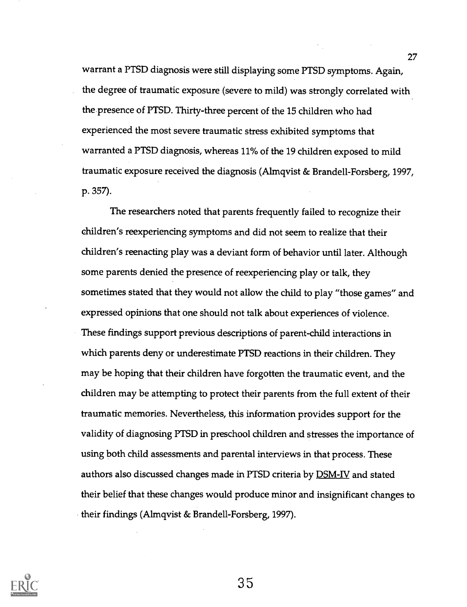warrant a PTSD diagnosis were still displaying some PTSD symptoms. Again, the degree of traumatic exposure (severe to mild) was strongly correlated with the presence of PTSD. Thirty-three percent of the <sup>15</sup> children who had experienced the most severe traumatic stress exhibited symptoms that warranted a PTSD diagnosis, whereas 11% of the <sup>19</sup> children exposed to mild traumatic exposure received the diagnosis (Almqvist & Brandell-Forsberg, 1997, p. 357).

The researchers noted that parents frequently failed to recognize their children's reexperiencing symptoms and did not seem to realize that their children's reenacting play was a deviant form of behavior until later. Although some parents denied the presence of reexperiencing play or talk, they sometimes stated that they would not allow the child to play "those games" and expressed opinions that one should not talk about experiences of violence. These findings support previous descriptions of parent-child interactions in which parents deny or underestimate PTSD reactions in their children. They may be hoping that their children have forgotten the traumatic event, and the children may be attempting to protect their parents from the full extent of their traumatic memories. Nevertheless, this information provides support for the validity of diagnosing PTSD in preschool children and stresses the importance of using both child assessments and parental interviews in that process. These authors also discussed changes made in PTSD criteria by **DSM-IV** and stated their belief that these changes would produce minor and insignificant changes to their findings (Almqvist & Brandell-Forsberg, 1997).

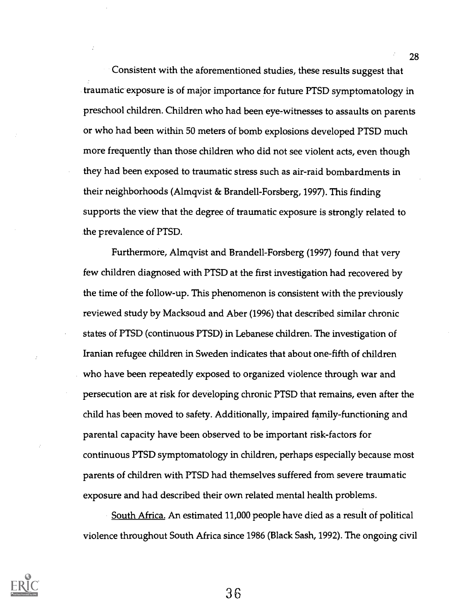Consistent with the aforementioned studies, these results suggest that traumatic exposure is of major importance for future PTSD symptomatology in preschool children. Children who had been eye-witnesses to assaults on parents or who had been within 50 meters of bomb explosions developed PTSD much more frequently than those children who did not see violent acts, even though they had been exposed to traumatic stress such as air-raid bombardments in their neighborhoods (Almqvist & Brandell-Forsberg, 1997). This finding supports the view that the degree of traumatic exposure is strongly related to the prevalence of PTSD.

Furthermore, Almqvist and Brandell-Forsberg (1997) found that very few children diagnosed with PTSD at the first investigation had recovered by the time of the follow-up. This phenomenon is consistent with the previously reviewed study by Macksoud and Aber (1996) that described similar chronic states of PTSD (continuous PTSD) in Lebanese children. The investigation of Iranian refugee children in Sweden indicates that about one-fifth of children who have been repeatedly exposed to organized violence through war and persecution are at risk for developing chronic PTSD that remains, even after the child has been moved to safety. Additionally, impaired family-functioning and parental capacity have been observed to be important risk-factors for continuous PTSD symptomatology in children, perhaps especially because most parents of children with PTSD had themselves suffered from severe traumatic exposure and had described their own related mental health problems.

South Africa. An estimated 11,000 people have died as a result of political violence throughout South Africa since 1986 (Black Sash, 1992). The ongoing civil



36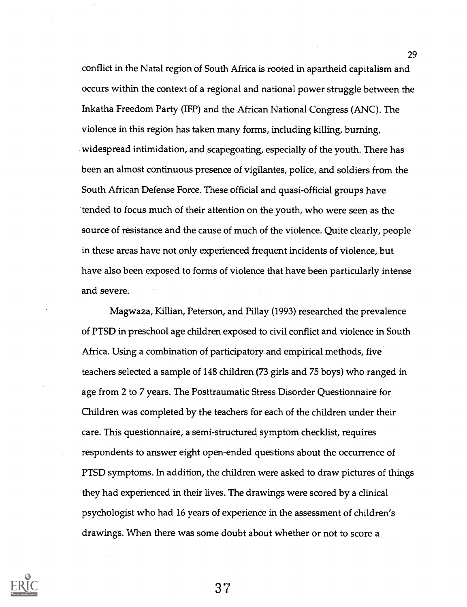conflict in the Natal region of South Africa is rooted in apartheid capitalism and occurs within the context of a regional and national power struggle between the Inkatha Freedom Party (IFP) and the African National Congress (ANC). The violence in this region has taken many forms, including killing, burning, widespread intimidation, and scapegoating, especially of the youth. There has been an almost continuous presence of vigilantes, police, and soldiers from the South African Defense Force. These official and quasi-official groups have tended to focus much of their attention on the youth, who were seen as the source of resistance and the cause of much of the violence. Quite clearly, people in these areas have not only experienced frequent incidents of violence, but have also been exposed to forms of violence that have been particularly intense and severe.

Magwaza, Killian, Peterson, and Pillay (1993) researched the prevalence of PTSD in preschool age children exposed to civil conflict and violence in South Africa. Using a combination of participatory and empirical methods, five teachers selected a sample of 148 children (73 girls and 75 boys) who ranged in age from 2 to 7 years. The Posttraumatic Stress Disorder Questionnaire for Children was completed by the teachers for each of the children under their care. This questionnaire, a semi-structured symptom checklist, requires respondents to answer eight open-ended questions about the occurrence of PTSD symptoms. In addition, the children were asked to draw pictures of things they had experienced in their lives. The drawings were scored by a clinical psychologist who had 16 years of experience in the assessment of children's drawings. When there was some doubt about whether or not to score a



37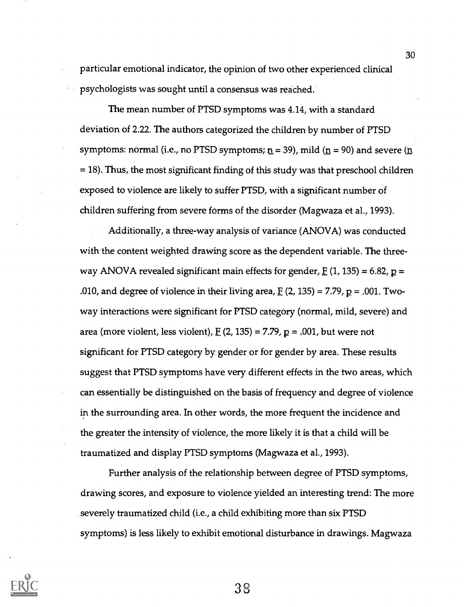particular emotional indicator, the opinion of two other experienced clinical psychologists was sought until a consensus was reached.

The mean number of PTSD symptoms was 4.14, with a standard deviation of 2.22. The authors categorized the children by number of PTSD symptoms: normal (i.e., no PTSD symptoms;  $n = 39$ ), mild ( $n = 90$ ) and severe ( $n$ = 18). Thus, the most significant finding of this study was that preschool children exposed to violence are likely to suffer PTSD, with a significant number of children suffering from severe forms of the disorder (Magwaza et al., 1993).

Additionally, a three-way analysis of variance (ANOVA) was conducted with the content weighted drawing score as the dependent variable. The threeway ANOVA revealed significant main effects for gender,  $E(1, 135) = 6.82$ ,  $p =$ .010, and degree of violence in their living area,  $E(2, 135) = 7.79$ ,  $p = .001$ . Twoway interactions were significant for PTSD category (normal, mild, severe) and area (more violent, less violent),  $E(2, 135) = 7.79$ ,  $p = .001$ , but were not significant for PTSD category by gender or for gender by area. These results suggest that PTSD symptoms have very different effects in the two areas, which can essentially be distinguished on the basis of frequency and degree of violence in the surrounding area. In other words, the more frequent the incidence and the greater the intensity of violence, the more likely it is that a child will be traumatized and display PTSD symptoms (Magwaza et al., 1993).

Further analysis of the relationship between degree of PTSD symptoms, drawing scores, and exposure to violence yielded an interesting trend: The more severely traumatized child (i.e., a child exhibiting more than six PTSD symptoms) is less likely to exhibit emotional disturbance in drawings. Magwaza

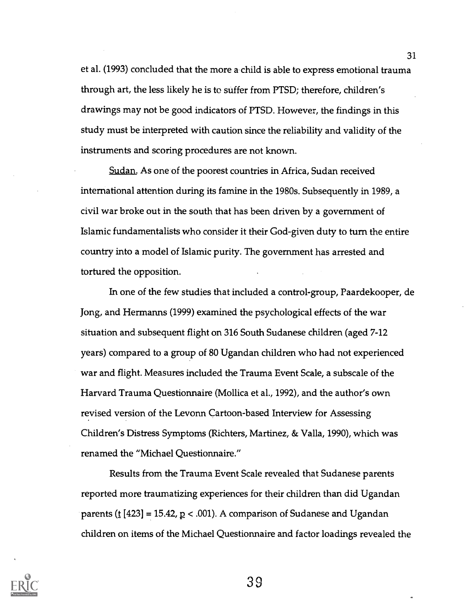et al. (1993) concluded that the more a child is able to express emotional trauma through art, the less likely he is to suffer from PTSD; therefore, children's drawings may not be good indicators of PTSD. However, the findings in this study must be interpreted with caution since the reliability and validity of the instruments and scoring procedures are not known.

Sudan. As one of the poorest countries in Africa, Sudan received international attention during its famine in the 1980s. Subsequently in 1989, a civil war broke out in the south that has been driven by a government of Islamic fundamentalists who consider it their God-given duty to turn the entire country into a model of Islamic purity. The government has arrested and tortured the opposition.

In one of the few studies that included a control-group, Paardekooper, de Jong, and Hermanns (1999) examined the psychological effects of the war situation and subsequent flight on 316 South Sudanese children (aged 7-12 years) compared to a group of 80 Ugandan children who had not experienced war and flight. Measures included the Trauma Event Scale, a subscale of the Harvard Trauma Questionnaire (Mollica et al., 1992), and the author's own revised version of the Levonn Cartoon-based Interview for Assessing Children's Distress Symptoms (Richters, Martinez, & Valla, 1990), which was renamed the "Michael Questionnaire."

Results from the Trauma Event Scale revealed that Sudanese parents reported more traumatizing experiences for their children than did Ugandan parents ( $\underline{t}$  [423] = 15.42,  $\underline{p}$  < .001). A comparison of Sudanese and Ugandan children on items of the Michael Questionnaire and factor loadings revealed the



39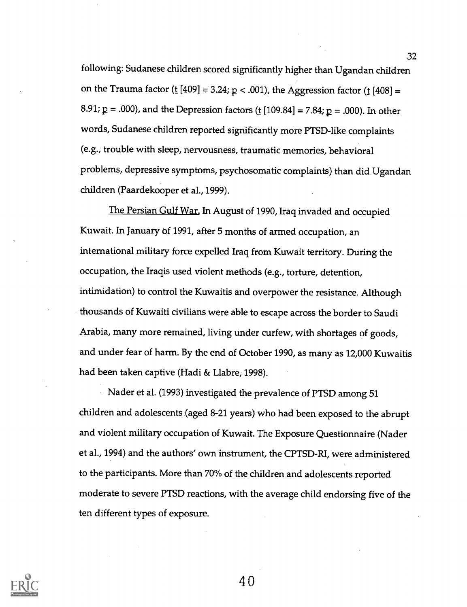following: Sudanese children scored significantly higher than Ugandan children on the Trauma factor (t  $[409] = 3.24$ ;  $p < .001$ ), the Aggression factor (t  $[408] =$ 8.91;  $p = .000$ ), and the Depression factors ( $\underline{t}$  [109.84] = 7.84;  $p = .000$ ). In other words, Sudanese children reported significantly more PTSD-like complaints (e.g., trouble with sleep, nervousness, traumatic memories, behavioral problems, depressive symptoms, psychosomatic complaints) than did. Ugandan children (Paardekooper et al., 1999).

The Persian Gulf War. In August of 1990, Iraq invaded and occupied Kuwait. In January of 1991, after 5 months of armed occupation, an international military force expelled Iraq from Kuwait territory. During the occupation, the Iraqis used violent methods (e.g., torture, detention, intimidation) to control the Kuwaitis and overpower the resistance. Although thousands of Kuwaiti civilians were able to escape across the border to Saudi Arabia, many more remained, living under curfew, with shortages of goods, and under fear of harm. By the end of October 1990, as many as 12,000 Kuwaitis had been taken captive (Hadi & Llabre, 1998).

Nader et al. (1993) investigated the prevalence of PTSD among 51 children and adolescents (aged 8-21 years) who had been exposed to the abrupt and violent military occupation of Kuwait. The Exposure Questionnaire (Nader et al., 1994) and the authors' own instrument, the CPTSD-RI, were administered to the participants. More than 70% of the children and adolescents reported moderate to severe PTSD reactions, with the average child endorsing five of the ten different types of exposure.



4 በ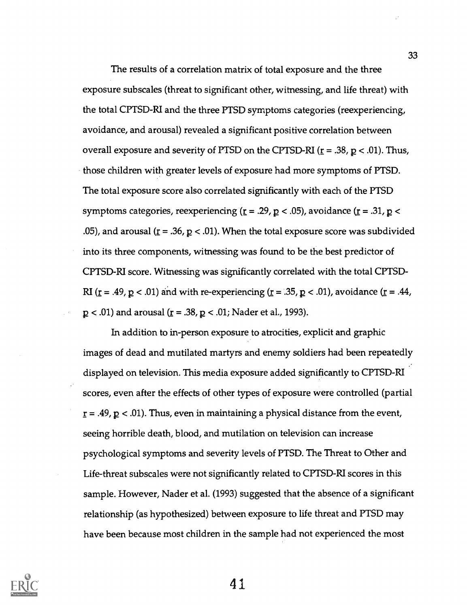The results of a correlation matrix of total exposure and the three exposure subscales (threat to significant other, witnessing, and life threat) with the total CPTSD-RI and the three PTSD symptoms categories (reexperiencing, avoidance, and arousal) revealed a significant positive correlation between overall exposure and severity of PTSD on the CPTSD-RI ( $r = .38$ ,  $p < .01$ ). Thus, those children with greater levels of exposure had more symptoms of PTSD. The total exposure score also correlated significantly with each of the PTSD symptoms categories, reexperiencing ( $r = .29$ ,  $p < .05$ ), avoidance ( $r = .31$ ,  $p <$ .05), and arousal ( $\underline{r}$  = .36,  $\underline{p}$  < .01). When the total exposure score was subdivided into its three components, witnessing was found to be the best predictor of CPTSD-RI score. Witnessing was significantly correlated with the total CPTSD-RI ( $\underline{r}$  = .49,  $\underline{p}$  < .01) and with re-experiencing ( $\underline{r}$  = .35,  $\underline{p}$  < .01), avoidance ( $\underline{r}$  = .44,  $p < .01$ ) and arousal ( $r = .38$ ,  $p < .01$ ; Nader et al., 1993).

In addition to in-person exposure to atrocities, explicit and graphic images of dead and mutilated martyrs and enemy soldiers had been repeatedly displayed on television. This media exposure added significantly to CPTSD-RI scores, even after the effects of other types of exposure were controlled (partial  $r = .49$ ,  $p < .01$ ). Thus, even in maintaining a physical distance from the event, seeing horrible death, blood, and mutilation on television can increase psychological symptoms and severity levels of PTSD. The Threat to Other and Life-threat subscales were not significantly related to CPTSD-RI scores in this sample. However, Nader et al. (1993) suggested that the absence of a significant relationship (as hypothesized) between exposure to life threat and PTSD may have been because most children in the sample had not experienced the most

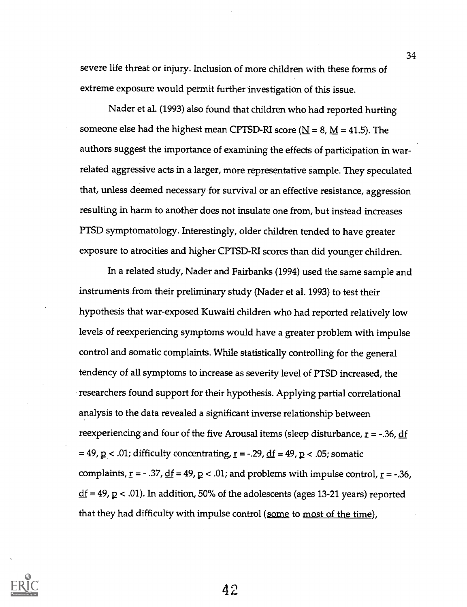severe life threat or injury. Inclusion of more children with these forms of extreme exposure would permit further investigation of this issue.

Nader et al. (1993) also found that children who had reported hurting someone else had the highest mean CPTSD-RI score ( $N = 8$ ,  $M = 41.5$ ). The authors suggest the importance of examining the effects of participation in warrelated aggressive acts in a larger, more representative sample. They speculated that, unless deemed necessary for survival or an effective resistance, aggression resulting in harm to another does not insulate one from, but instead increases PTSD symptomatology. Interestingly, older children tended to have greater exposure to atrocities and higher CPTSD-RI scores than did younger children.

In a related study, Nader and Fairbanks (1994) used the same sample and instruments from their preliminary study (Nader et al. 1993) to test their hypothesis that war-exposed Kuwaiti children who had reported relatively low levels of reexperiencing symptoms would have a greater problem with impulse control and somatic complaints. While statistically controlling for the general tendency of all symptoms to increase as severity level of PTSD increased, the researchers found support for their hypothesis. Applying partial correlational analysis to the data revealed a significant inverse relationship between reexperiencing and four of the five Arousal items (sleep disturbance,  $r = -0.36$ , df = 49,  $p$  < .01; difficulty concentrating,  $r = -0.29$ ,  $df = 49$ ,  $p$  < .05; somatic complaints,  $r = -0.37$ ,  $df = 49$ ,  $p < 0.01$ ; and problems with impulse control,  $r = -0.36$ ,  $df = 49$ ,  $p < .01$ ). In addition, 50% of the adolescents (ages 13-21 years) reported that they had difficulty with impulse control (some to most of the time),

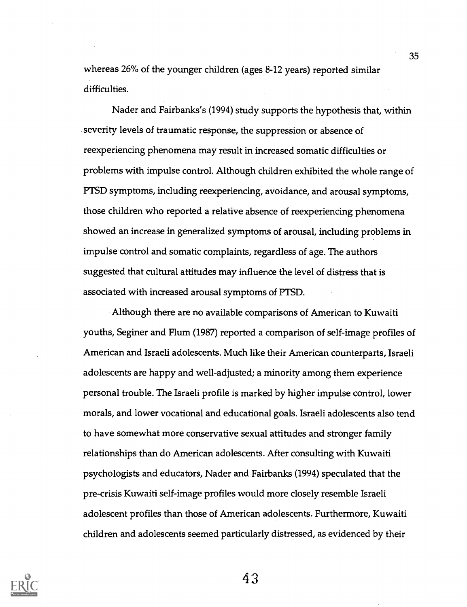whereas 26% of the younger children (ages 8-12 years) reported similar difficulties.

Nader and Fairbanks's (1994) study supports the hypothesis that, within severity levels of traumatic response, the suppression or absence of reexperiencing phenomena may result in increased somatic difficulties or problems with impulse control. Although children exhibited the whole range of PTSD symptoms, including reexperiencing, avoidance, and arousal symptoms, those children who reported a relative absence of reexperiencing phenomena showed an increase in generalized symptoms of arousal, including problems in impulse control and somatic complaints, regardless of age. The authors suggested that cultural attitudes may influence the level of distress that is associated with increased arousal symptoms of PTSD.

Although there are no available comparisons of American to Kuwaiti youths, Seginer and Flum (1987) reported a comparison of self-image profiles of American and Israeli adolescents. Much like their American counterparts, Israeli adolescents are happy and well-adjusted; a minority among them experience personal trouble. The Israeli profile is marked by higher impulse control, lower morals, and lower vocational and educational goals. Israeli adolescents also tend to have somewhat more conservative sexual attitudes and stronger family relationships than do American adolescents. After consulting with Kuwaiti psychologists and educators, Nader and Fairbanks (1994) speculated that the pre-crisis Kuwaiti self-image profiles would more closely resemble Israeli adolescent profiles than those of American adolescents. Furthermore, Kuwaiti children and adolescents seemed particularly distressed, as evidenced by their



4.3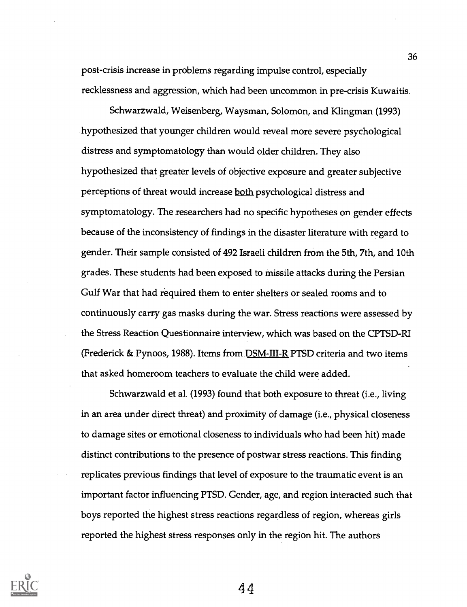post-crisis increase in problems regarding impulse control, especially recklessness and aggression, which had been uncommon in pre-crisis Kuwaitis.

Schwarzwald, Weisenberg, Waysman, Solomon, and Klingman (1993) hypothesized that younger children would reveal more severe psychological distress and symptomatology than would older children. They also hypothesized that greater levels of objective exposure and greater subjective perceptions of threat would increase both psychological distress and symptomatology. The researchers had no specific hypotheses on gender effects because of the inconsistency of findings in the disaster literature with regard to gender. Their sample consisted of 492 Israeli children from the 5th, 7th, and 10th grades. These students had been exposed to missile attacks during the Persian Gulf War that had required them to enter shelters or sealed rooms and to continuously carry gas masks during the war. Stress reactions were assessed by the Stress Reaction Questionnaire interview, which was based on the CPTSD-RI (Frederick & Pynoos, 1988). Items from **DSM-III-R PTSD** criteria and two items that asked homeroom teachers to evaluate the child were added.

Schwarzwald et al. (1993) found that both exposure to threat (i.e., living in an area under direct threat) and proximity of damage (i.e., physical closeness to damage sites or emotional closeness to individuals who had been hit) made distinct contributions to the presence of postwar stress reactions. This finding replicates previous findings that level of exposure to the traumatic event is an important factor influencing PTSD. Gender, age, and region interacted such that boys reported the highest stress reactions regardless of region, whereas girls reported the highest stress responses only in the region hit. The authors

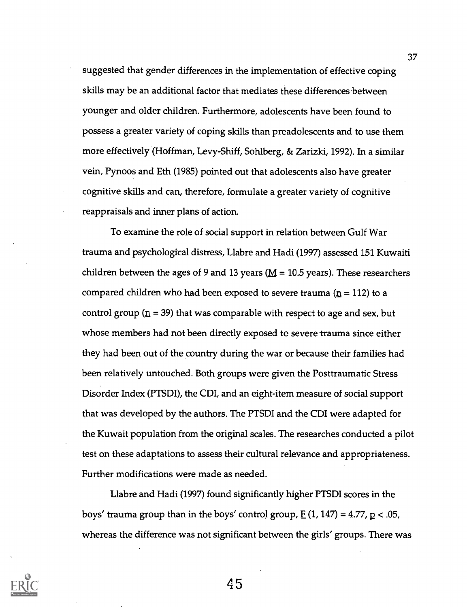suggested that gender differences in the implementation of effective coping skills may be an additional factor that mediates these differences between younger and older children. Furthermore, adolescents have been found to possess a greater variety of coping skills than preadolescents and to use them more effectively (Hoffman, Levy-Shiff, Sohlberg, & Zarizki, 1992). In a similar vein, Pynoos and Eth (1985) pointed out that adolescents also have greater cognitive skills and can, therefore, formulate a greater variety of cognitive reappraisals and inner plans of action.

To examine the role of social support in relation between Gulf War trauma and psychological distress, Llabre and Hadi (1997) assessed 151 Kuwaiti children between the ages of 9 and 13 years ( $M = 10.5$  years). These researchers compared children who had been exposed to severe trauma ( $\underline{n}$  = 112) to a control group ( $n = 39$ ) that was comparable with respect to age and sex, but whose members had not been directly exposed to severe trauma since either they had been out of the country during the war or because their families had been relatively untouched. Both groups were given the Posttraumatic Stress Disorder Index (PTSDI), the CDI, and an eight-item measure of social support that was developed by the authors. The PTSDI and the CDI were adapted for the Kuwait population from the original scales. The researches conducted a pilot test on these adaptations to assess their cultural relevance and appropriateness. Further modifications were made as needed.

Llabre and Hadi (1997) found significantly higher PTSDI scores in the boys' trauma group than in the boys' control group,  $E(1, 147) = 4.77$ ,  $p < .05$ , whereas the difference was not significant between the girls' groups. There was

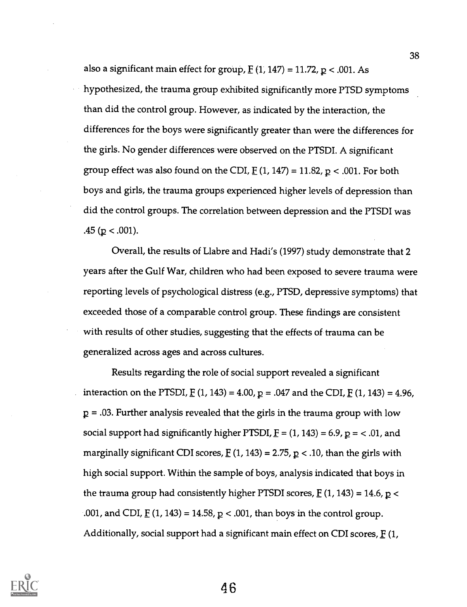also a significant main effect for group,  $E(1, 147) = 11.72$ ,  $p < .001$ . As hypothesized, the trauma group exhibited significantly more PTSD symptoms than did the control group. However, as indicated by the interaction, the differences for the boys were significantly greater than were the differences for the girls. No gender differences were observed on the PTSDI. A significant group effect was also found on the CDI,  $F(1, 147) = 11.82$ ,  $p < .001$ . For both boys and girls, the trauma groups experienced higher levels of depression than did the control groups. The correlation between depression and the PTSDI was .45 ( $p < .001$ ).

Overall, the results of Llabre and Hadi's (1997) study demonstrate that 2 years after the Gulf War, children who had been exposed to severe trauma were reporting levels of psychological distress (e.g., PTSD, depressive symptoms) that exceeded those of a comparable control group. These findings are consistent with results of other studies, suggesting that the effects of trauma can be generalized across ages and across cultures.

Results regarding the role of social support revealed a significant interaction on the PTSDI,  $E(1, 143) = 4.00$ ,  $p = .047$  and the CDI,  $E(1, 143) = 4.96$ ,  $p = 0.03$ . Further analysis revealed that the girls in the trauma group with low social support had significantly higher PTSDI,  $F = (1, 143) = 6.9$ ,  $p = < .01$ , and marginally significant CDI scores,  $E(1, 143) = 2.75$ ,  $p < .10$ , than the girls with high social support. Within the sample of boys, analysis indicated that boys in the trauma group had consistently higher PTSDI scores,  $E(1, 143) = 14.6$ ,  $p <$ .001, and CDI,  $\underline{F}$  (1, 143) = 14.58,  $\underline{p}$  < .001, than boys in the control group. Additionally, social support had a significant main effect on CDI scores,  $F(1,$ 

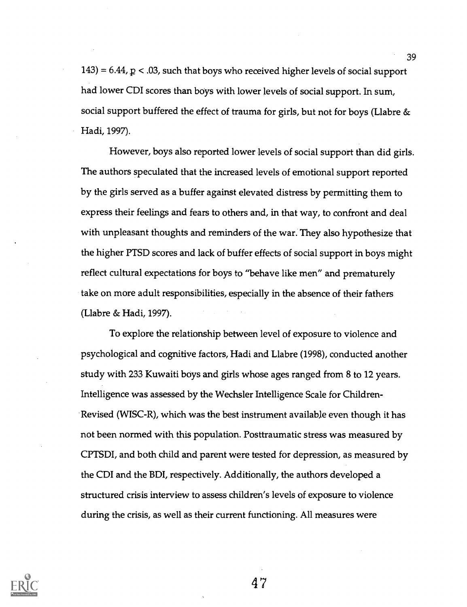$143$ ) = 6.44,  $p < 0.03$ , such that boys who received higher levels of social support had lower CDI scores than boys with lower levels of social support. In sum, social support buffered the effect of trauma for girls, but not for boys (Llabre  $\&$ Hadi, 1997).

However, boys also reported lower levels of social support than did girls. The authors speculated that the increased levels of emotional support reported by the girls served as a buffer against elevated distress by permitting them to express their feelings and fears to others and, in that way, to confront and deal with unpleasant thoughts and reminders of the war. They also hypothesize that the higher PTSD scores and lack of buffer effects of social support in boys might reflect cultural expectations for boys to "behave like men" and prematurely take on more adult responsibilities, especially in the absence of their fathers (Llabre & Hadi, 1997).

To explore the relationship between level of exposure to violence and psychological and cognitive factors, Hadi and Llabre (1998), conducted another study with 233 Kuwaiti boys and girls whose ages ranged from 8 to 12 years. Intelligence was assessed by the Wechsler Intelligence Scale for Children-Revised (WISC-R), which was the best instrument available even though it has not been normed with this population. Posttraumatic stress was measured by CPTSDI, and both child and parent were tested for depression, as measured by the CDI and the BDI, respectively. Additionally, the authors developed a structured crisis interview to assess children's levels of exposure to violence during the crisis, as well as their current functioning. All measures were



47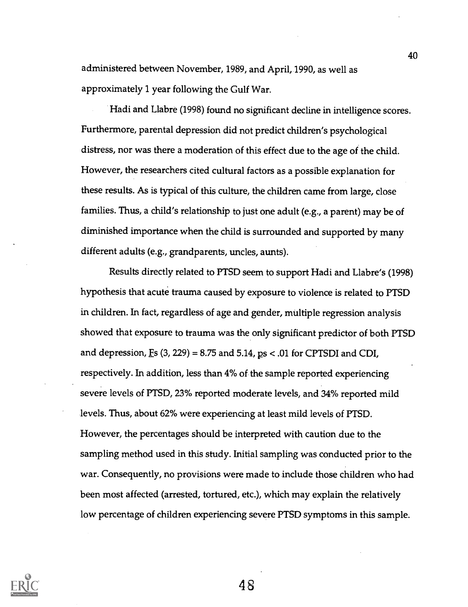administered between November, 1989, and April, 1990, as well as approximately 1 year following the Gulf War.

Hadi and Llabre (1998) found no significant decline in intelligence scores. Furthermore, parental depression did not predict children's psychological distress, nor was there a moderation of this effect due to the age of the child. However, the researchers cited cultural factors as a possible explanation for these results. As is typical of this culture, the children came from large, close families. Thus, a child's relationship to just one adult (e.g., a parent) may be of diminished importance when the child is surrounded and supported by many different adults (e.g., grandparents, uncles, aunts).

Results directly related to PTSD seem to support Hadi and Llabre's (1998) hypothesis that acute trauma caused by exposure to violence is related to PTSD in children. In fact, regardless of age and gender, multiple regression analysis showed that exposure to trauma was the only significant predictor of both PTSD and depression,  $E s$  (3, 229) = 8.75 and 5.14,  $p s < .01$  for CPTSDI and CDI, respectively. In addition, less than 4% of the sample reported experiencing severe levels of PTSD, 23% reported moderate levels, and 34% reported mild levels. Thus, about 62% were experiencing at least mild levels of PTSD. However, the percentages should be interpreted with caution due to the sampling method used in this study. Initial sampling was conducted prior to the war. Consequently, no provisions were made to include those children who had been most affected (arrested, tortured, etc.), which may explain the relatively low percentage of children experiencing severe PTSD symptoms in this sample.



48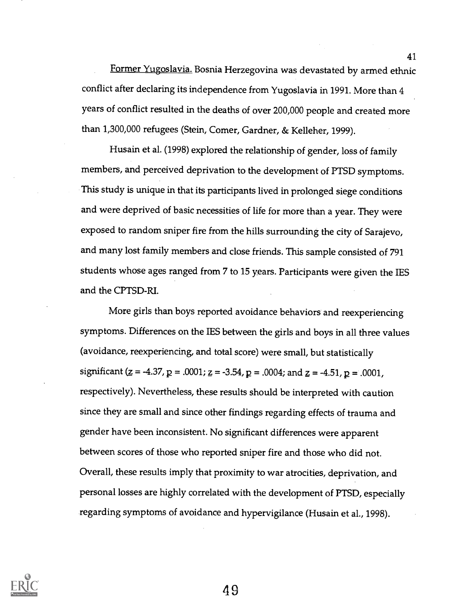Former Yugoslavia. Bosnia Herzegovina was devastated by armed ethnic conflict after declaring its independence from Yugoslavia in 1991. More than 4 years of conflict resulted in the deaths of over 200,000 people and created more than 1,300,000 refugees (Stein, Comer, Gardner, & Kelleher, 1999).

Husain et al. (1998) explored the relationship of gender, loss of family members, and perceived deprivation to the development of PTSD symptoms. This study is unique in that its participants lived in prolonged siege conditions and were deprived of basic necessities of life for more than a year. They were exposed to random sniper fire from the hills surrounding the city of Sarajevo, and many lost family members and close friends. This sample consisted of 791 students whose ages ranged from 7 to 15 years. Participants were given the IES and the CPTSD-RI.

More girls than boys reported avoidance behaviors and reexperiencing symptoms. Differences on the IES between the girls and boys in all three values (avoidance, reexperiencing, and total score) were small, but statistically significant ( $z = -4.37$ ,  $p = .0001$ ;  $z = -3.54$ ,  $p = .0004$ ; and  $z = -4.51$ ,  $p = .0001$ , respectively). Nevertheless, these results should be interpreted with caution since they are small and since other findings regarding effects of trauma and gender have been inconsistent. No significant differences were apparent between scores of those who reported sniper fire and those who did not. Overall, these results imply that proximity to war atrocities, deprivation, and personal losses are highly correlated with the development of PTSD, especially regarding symptoms of avoidance and hypervigilance (Husain et al., 1998).

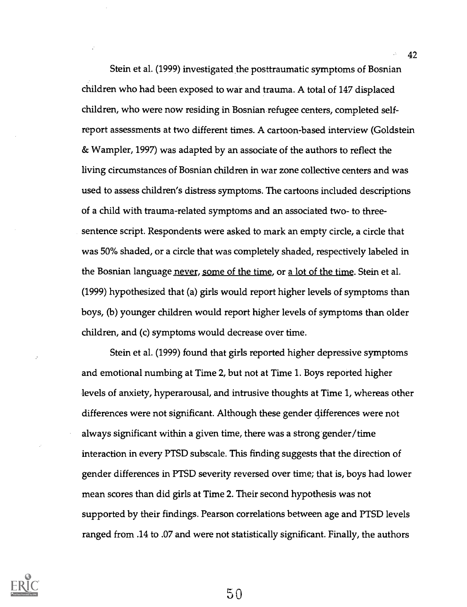Stein et al. (1999) investigated the posttraumatic symptoms of Bosnian children who had been exposed to war and trauma. A total of 147 displaced children, who were now residing in Bosnian refugee centers, completed selfreport assessments at two different times. A cartoon-based interview (Goldstein & Wampler, 1997) was adapted by an associate of the authors to reflect the living circumstances of Bosnian children in war zone collective centers and was used to assess children's distress symptoms. The cartoons included descriptions of a child with trauma-related symptoms and an associated two- to threesentence script. Respondents were asked to mark an empty circle, a circle that was 50% shaded, or a circle that was completely shaded, respectively labeled in the Bosnian language never, some of the time, or a lot of the time. Stein et al. (1999) hypothesized that (a) girls would report higher levels of symptoms than boys, (b) younger children would report higher levels of symptoms than older children, and (c) symptoms would decrease over time.

Stein et al. (1999) found that girls reported higher depressive symptoms and emotional numbing at Time 2, but not at Time 1. Boys reported higher levels of anxiety, hyperarousal, and intrusive thoughts at Time 1, whereas other differences were not significant. Although these gender differences were not always significant within a given time, there was a strong gender/time interaction in every PTSD subscale. This finding suggests that the direction of gender differences in PTSD severity reversed over time; that is, boys had lower mean scores than did girls at Time 2. Their second hypothesis was not supported by their findings. Pearson correlations between age and PTSD levels ranged from .14 to .07 and were not statistically significant. Finally, the authors

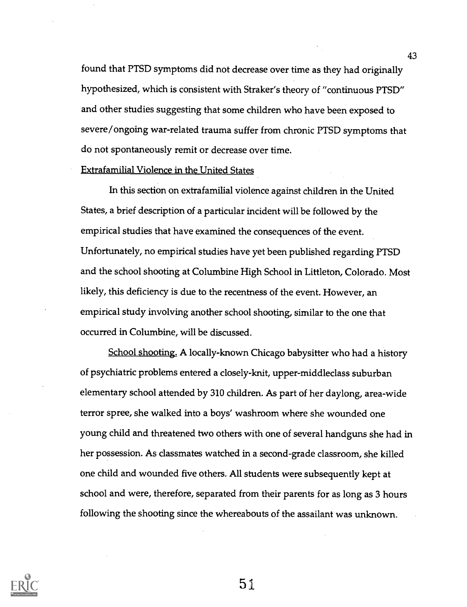found that PTSD symptoms did not decrease over time as they had originally hypothesized, which is consistent with Straker's theory of "continuous PTSD" and other studies suggesting that some children who have been exposed to severe/ongoing war-related trauma suffer from chronic PTSD symptoms that do not spontaneously remit or decrease over time.

#### Extrafamilial Violence in the United States

In this section on extrafamilial violence against children in the United States, a brief description of a particular incident will be followed by the empirical studies that have examined the consequences of the event. Unfortunately, no empirical studies have yet been published regarding PTSD and the school shooting at Columbine High School in Littleton, Colorado. Most likely, this deficiency is due to the recentness of the event. However, an empirical study involving another school shooting, similar to the one that occurred in Columbine, will be discussed.

School shooting. A locally-known Chicago babysitter who had a history of psychiatric problems entered a closely-knit, upper-middleclass suburban elementary school attended by 310 children. As part of her daylong, area-wide terror spree, she walked into a boys' washroom where she wounded one young child and threatened two others with one of several handguns she had in her possession. As classmates watched in a second-grade classroom, she killed one child and wounded five others. All students were subsequently kept at school and were, therefore, separated from their parents for as long as 3 hours following the shooting since the whereabouts of the assailant was unknown.

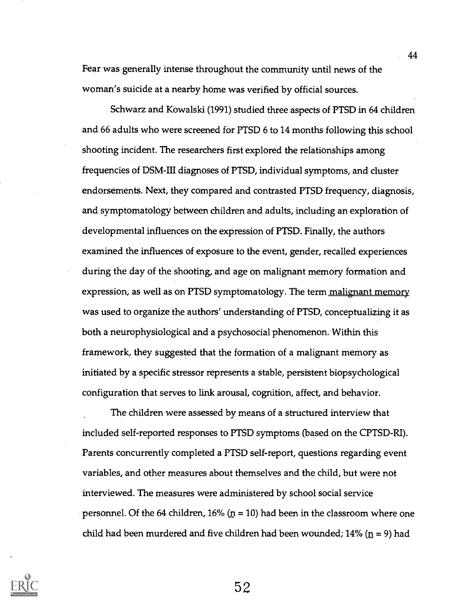Fear was generally intense throughout the community until news of the woman's suicide at a nearby home was verified by official sources.

Schwarz and Kowalski (1991) studied three aspects of PTSD in 64 children and 66 adults who were screened for PTSD 6 to 14 months following this school shooting incident. The researchers first explored the relationships among frequencies of DSM-III diagnoses of PTSD, individual symptoms, and cluster endorsements. Next, they compared and contrasted PTSD frequency, diagnosis, and symptomatology between children and adults, including an exploration of developmental influences on the expression of PTSD. Finally, the authors examined the influences of exposure to the event, gender, recalled experiences during the day of the shooting, and age on malignant memory formation and expression, as well as on PTSD symptomatology. The term malignant memory was used to organize the authors' understanding of PTSD, conceptualizing it as both a neurophysiological and a psychosocial phenomenon. Within this framework, they suggested that the formation of a malignant memory as initiated by a specific stressor represents a stable, persistent biopsychological configuration that serves to link arousal, cognition, affect, and behavior.

The children were assessed by means of a structured interview that included self-reported responses to PTSD symptoms (based on the CPTSD-RI). Parents concurrently completed a PTSD self-report, questions regarding event variables, and other measures about themselves and the child, but were not interviewed. The measures were administered by school social service personnel. Of the 64 children, 16% ( $p = 10$ ) had been in the classroom where one child had been murdered and five children had been wounded;  $14\%$  ( $\underline{n}$  = 9) had

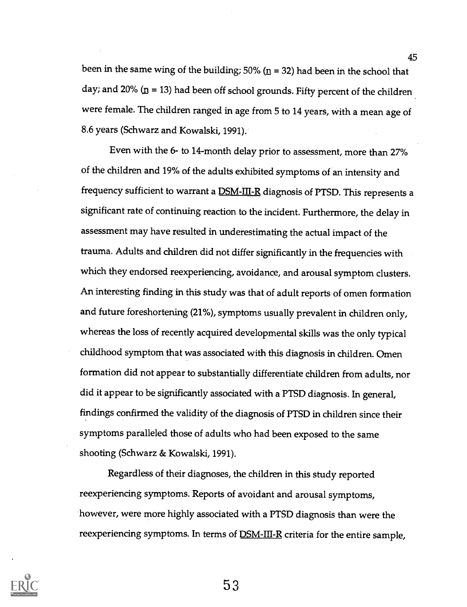been in the same wing of the building; 50% ( $n = 32$ ) had been in the school that day; and 20%  $(n = 13)$  had been off school grounds. Fifty percent of the children were female. The children ranged in age from 5 to 14 years, with a mean age of 8.6 years (Schwarz and Kowalski, 1991).

Even with the 6- to 14-month delay prior to assessment, more than 27% of the children and 19% of the adults exhibited symptoms of an intensity and frequency sufficient to warrant a DSM-III-R diagnosis of PTSD. This represents a significant rate of continuing reaction to the incident. Furthermore, the delay in assessment may have resulted in underestimating the actual impact of the trauma. Adults and children did not differ significantly in the frequencies with which they endorsed reexperiencing, avoidance, and arousal symptom clusters. An interesting finding in this study was that of adult reports of omen formation and future foreshortening (21%), symptoms usually prevalent in children only, whereas the loss of recently acquired developmental skills was the only typical childhood symptom that was associated with this diagnosis in children. Omen formation did not appear to substantially differentiate children from adults, nor did it appear to be significantly associated with a PTSD diagnosis. In general, findings confirmed the validity of the diagnosis of PTSD in children since their symptoms paralleled those of adults who had been exposed to the same shooting (Schwarz & Kowalski, 1991).

Regardless of their diagnoses, the children in this study reported reexperiencing symptoms. Reports of avoidant and arousal symptoms, however, were more highly associated with a PTSD diagnosis than were the reexperiencing symptoms. In terms of **DSM-III-R** criteria for the entire sample,

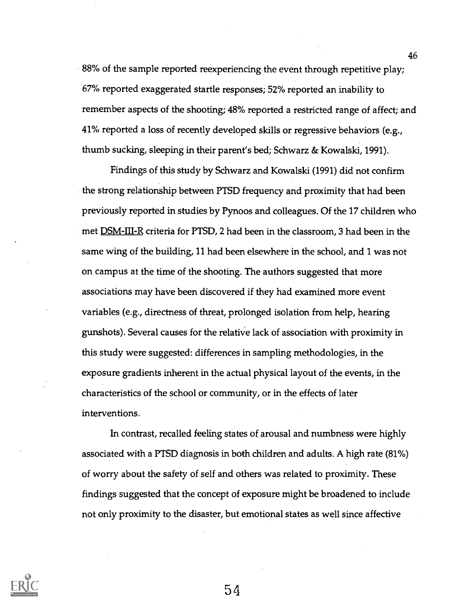88% of the sample reported reexperiencing the event through repetitive play; 67% reported exaggerated startle responses; 52% reported an inability to remember aspects of the shooting; 48% reported a restricted range of affect; and 41% reported a loss of recently developed skills or regressive behaviors (e.g., thumb sucking, sleeping in their parent's bed; Schwarz & Kowalski, 1991).

Findings of this, study by Schwarz and Kowalski (1991) did not confirm the strong relationship between PTSD frequency and proximity that had been previously reported in studies by Pynoos and colleagues. Of the 17 children who met **DSM-III-R** criteria for PTSD, 2 had been in the classroom, 3 had been in the same wing of the building, 11 had been elsewhere in the school, and 1 was not on campus at the time of the shooting. The authors suggested that more associations may have been discovered if they had examined more event variables (e.g., directness of threat, prolonged isolation from help, hearing gunshots). Several causes for the relathie lack of association with proximity in this study were suggested: differences in sampling methodologies, in the exposure gradients inherent in the actual physical layout of the events, in the characteristics of the school or community, or in the effects of later interventions.

In contrast, recalled feeling states of arousal and numbness were highly associated with a PTSD diagnosis in both children and adults. A high rate (81%) of worry about the safety of self and others was related to proximity. These findings suggested that the concept of exposure might be broadened to include not only proximity to the disaster, but emotional states as well since affective

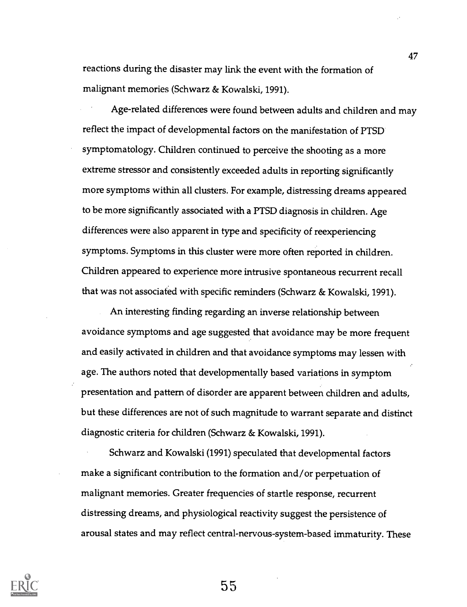reactions during the disaster may link the event with the formation of malignant memories (Schwarz & Kowalski, 1991).

Age-related differences were found between adults and children and may reflect the impact of developmental factors on the manifestation of PTSD symptomatology. Children continued to perceive the shooting as a more extreme stressor and consistently exceeded adults in reporting significantly more symptoms within all clusters. For example, distressing dreams appeared to be more significantly associated with a PTSD diagnosis in children. Age differences were also apparent in type and specificity of reexperiencing symptoms. Symptoms in this cluster were more often reported in children. Children appeared to experience more intrusive spontaneous recurrent recall that was not associated with specific reminders (Schwarz & Kowalski, 1991).

An interesting finding regarding an inverse relationship between avoidance symptoms and age suggested that avoidance may be more frequent and easily activated in children and that avoidance symptoms may lessen with age. The authors noted that developmentally based variations in symptom presentation and pattern of disorder are apparent between children and adults, but these differences are not of such magnitude to warrant separate and distinct diagnostic criteria for children (Schwarz & Kowalski, 1991).

Schwarz and Kowalski (1991) speculated that developmental factors make a significant contribution to the formation and/or perpetuation of malignant memories. Greater frequencies of startle response, recurrent distressing dreams, and physiological reactivity suggest the persistence of arousal states and may reflect central-nervous-system-based immaturity. These



55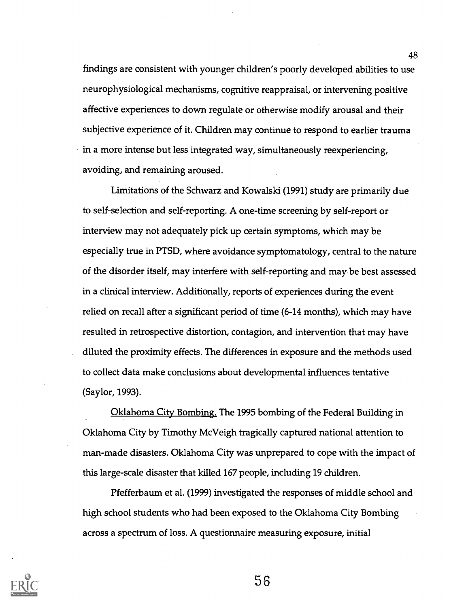findings are consistent with younger children's poorly developed abilities to use neurophysiological mechanisms, cognitive reappraisal, or intervening positive affective experiences to down regulate or otherwise modify arousal and their subjective experience of it. Children may continue to respond to earlier trauma  $\cdot$  in a more intense but less integrated way, simultaneously reexperiencing, avoiding, and remaining aroused.

Limitations of the Schwarz and Kowalski (1991) study are primarily due to self-selection and self-reporting. A one-time screening by self-report or interview may not adequately pick up certain symptoms, which may be especially true in PTSD, where avoidance symptomatology, central to the nature of the disorder itself, may interfere with self-reporting and may be best assessed in a clinical interview. Additionally, reports of experiences during the event relied on recall after a significant period of time (6-14 months), which may have resulted in retrospective distortion, contagion, and intervention that may have diluted the proximity effects. The differences in exposure and the methods used to collect data make conclusions about developmental influences tentative (Saylor, 1993).

Oklahoma City Bombing. The 1995 bombing of the Federal Building in Oklahoma City by Timothy McVeigh tragically captured national attention to man-made disasters. Oklahoma City was unprepared to cope with the impact of this large-scale disaster that killed 167 people, including 19 children.

Pfefferbaum et al. (1999) investigated the responses of middle school and high school students who had been exposed to the Oklahoma City Bombing across a spectrum of loss. A questionnaire measuring exposure, initial



56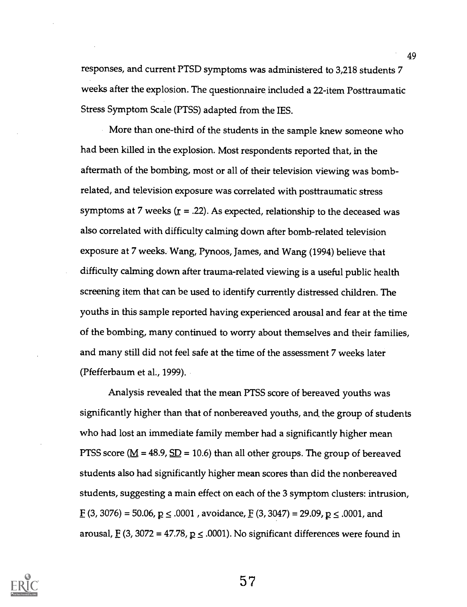responses, and current PTSD symptoms was administered to 3,218 students 7 weeks after the explosion. The questionnaire included a 22-item Posttraumatic Stress Symptom Scale (PTSS) adapted from the IES.

More than one-third of the students in the sample knew someone who had been killed in the explosion. Most respondents reported that, in the aftermath of the bombing, most or all of their television viewing was bombrelated, and television exposure was correlated with posttraumatic stress symptoms at 7 weeks ( $\underline{r}$  = .22). As expected, relationship to the deceased was also correlated with difficulty calming down after bomb-related television exposure at 7 weeks. Wang, Pynoos, James, and Wang (1994) believe that difficulty calming down after trauma-related viewing is a useful public health screening item that can be used to identify currently distressed children. The youths in this sample reported having experienced arousal and fear at the time of the bombing, many continued to worry about themselves and their families, and many still did not feel safe at the time of the assessment 7 weeks later (Pfefferbaum et al., 1999).

Analysis revealed that the mean PTSS score of bereaved youths was significantly higher than that of nonbereaved youths, and the group of students who had lost an immediate family member had a significantly higher mean PTSS score ( $\underline{M}$  = 48.9,  $\underline{SD}$  = 10.6) than all other groups. The group of bereaved students also had significantly higher mean scores than did the nonbereaved students, suggesting a main effect on each of the 3 symptom clusters: intrusion,  $E(3, 3076) = 50.06, p \le .0001$ , avoidance,  $E(3, 3047) = 29.09, p \le .0001$ , and arousal,  $\underline{F}$  (3, 3072 = 47.78,  $\underline{p} \le .0001$ ). No significant differences were found in

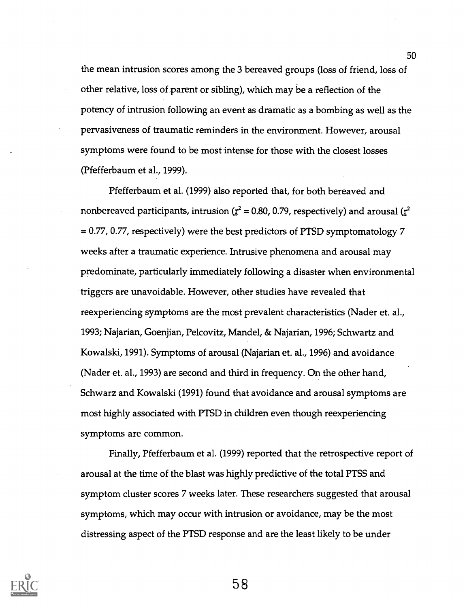the mean intrusion scores among the 3 bereaved groups (loss of friend, loss of other relative, loss of parent or sibling), which may be a reflection of the potency of intrusion following an event as dramatic as a bombing as well as the pervasiveness of traumatic reminders in the environment. However, arousal symptoms were found to be most intense for those with the closest losses (Pfefferbaum et al., 1999).

Pfefferbaum et al. (1999) also reported that, for both bereaved and nonbereaved participants, intrusion ( $r^2$  = 0.80, 0.79, respectively) and arousal ( $r^2$ = 0.77, 0.77, respectively) were the best predictors of PTSD symptomatology 7 weeks after a traumatic experience. Intrusive phenomena and arousal may predominate, particularly immediately following a disaster when environmental triggers are unavoidable. However, other studies have revealed that reexperiencing symptoms are the most prevalent characteristics (Nader et. al., 1993; Najarian, Goenjian, Pelcovitz, Mandel, & Najarian, 1996; Schwartz and Kowalski, 1991). Symptoms of arousal (Najarian et. al., 1996) and avoidance (Nader et. al., 1993) are second and third in frequency. On the other hand, Schwarz and Kowalski (1991) found that avoidance and arousal symptoms are most highly associated with PTSD in children even though reexperiencing symptoms are common.

Finally, Pfefferbaum et al. (1999) reported that the retrospective report of arousal at the time of the blast was highly predictive of the total PTSS and symptom cluster scores 7 weeks later. These researchers suggested that arousal symptoms, which may occur with intrusion or avoidance, may be the most distressing aspect of the PTSD response and are the least likely to be under

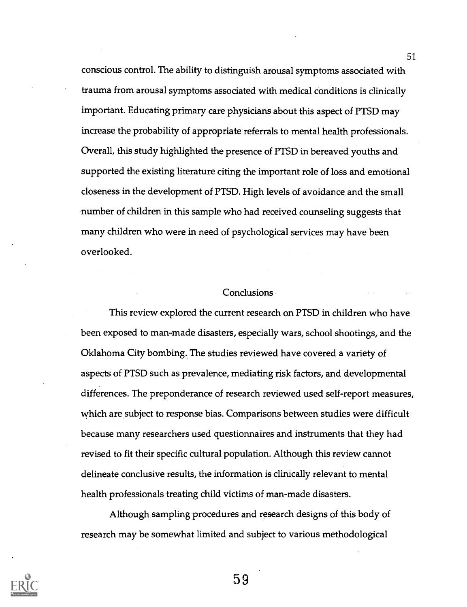conscious control. The ability to distinguish arousal symptoms associated with trauma from arousal symptoms associated with medical conditions is clinically important. Educating primary care physicians about this aspect of PTSD may increase the probability of appropriate referrals to mental health professionals. Overall, this study highlighted the presence of PTSD in bereaved youths and supported the existing literature citing the important role of loss and emotional closeness in the development of PTSD. High levels of avoidance and the small number of children in this sample who had received counseling suggests that many children who were in need of psychological services may have been overlooked.

#### **Conclusions**

This review explored the current research on PTSD in children who have been exposed to man-made disasters, especially wars, school shootings, and the Oklahoma City bombing. The studies reviewed have covered a variety of aspects of PTSD such as prevalence, mediating risk factors, and developmental differences. The preponderance of research reviewed used self-report measures, which are subject to response bias. Comparisons between studies were difficult because many researchers used questionnaires and instruments that they had revised to fit their specific cultural population. Although this review cannot delineate conclusive results, the information is clinically relevant to mental health professionals treating child victims of man-made disasters.

Although sampling procedures and research designs of this body of research may be somewhat limited and subject to various methodological



59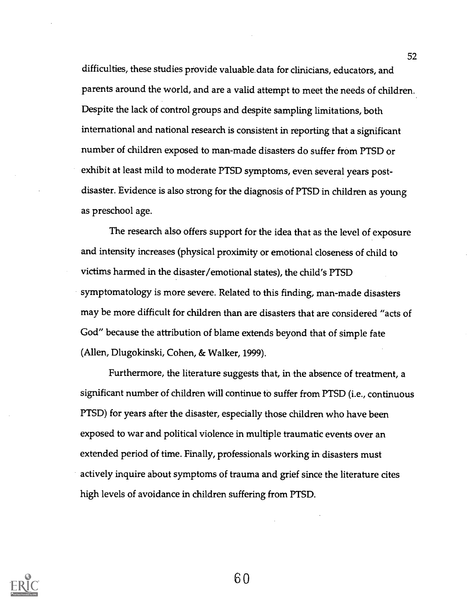difficulties, these studies provide valuable.data for clinicians, educators, and parents around the world, and are a valid attempt to meet the needs of children. Despite the lack of control groups and despite sampling limitations, both international and national research is consistent in reporting that a significant number of children exposed to man-made disasters do suffer from PTSD or exhibit at least mild to moderate PTSD symptoms, even several years postdisaster. Evidence is also strong for the diagnosis of PTSD in children as young as preschool age.

The research also offers support for the idea that as the level of exposure and intensity increases (physical proximity or emotional closeness of child to victims harmed in the disaster/emotional states), the child's PTSD symptomatology is more severe. Related to this finding, man-made disasters may be more difficult for children than are disasters that are considered "acts of God" because the attribution of blame extends beyond that of simple fate (Allen, Dlugokinski, Cohen, & Walker, 1999).

Furthermore, the literature suggests that, in the absence of treatment, a significant number of children will continue to suffer from PTSD (i.e., continuous PTSD) for years after the disaster, especially those children who have been exposed to war and political violence in multiple traumatic events over an extended period of time. Finally, professionals working in disasters must actively inquire about symptoms of trauma and grief since the literature cites high levels of avoidance in children suffering from PTSD.

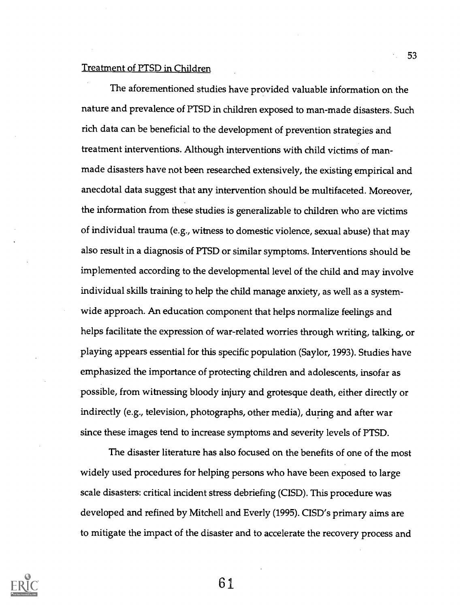#### Treatment of PTSD in Children

The aforementioned studies have provided valuable information on the nature and prevalence of PTSD in children exposed to man-made disasters. Such rich data can be beneficial to the development of prevention strategies and treatment interventions. Although interventions with child victims of manmade disasters have not been researched extensively, the existing empirical and anecdotal data suggest that any intervention should be multifaceted. Moreover, the information from these studies is generalizable to children who are victims of individual trauma (e.g., witness to domestic violence, sexual abuse) that may also result in a diagnosis of PTSD or similar symptoms. Interventions should be implemented according to the developmental level of the child and may involve individual skills training to help the child manage anxiety, as well as a systemwide approach. An education component that helps normalize feelings and helps facilitate the expression of war-related worries through writing, talking, or playing appears essential for this specific population (Saylor, 1993). Studies have emphasized the importance of protecting children and adolescents, insofar as possible, from witnessing bloody injury and grotesque death, either directly or indirectly (e.g., television, photographs, other media), during and after war since these images tend to increase symptoms and severity levels of PTSD.

The disaster literature has also focused on the benefits of one of the most widely used procedures for helping persons who have been exposed to large scale disasters: critical incident stress debriefing (CISD). This procedure was developed and refined by Mitchell and Everly (1995). CISD's primary aims are to mitigate the impact of the disaster and to accelerate the recovery process and

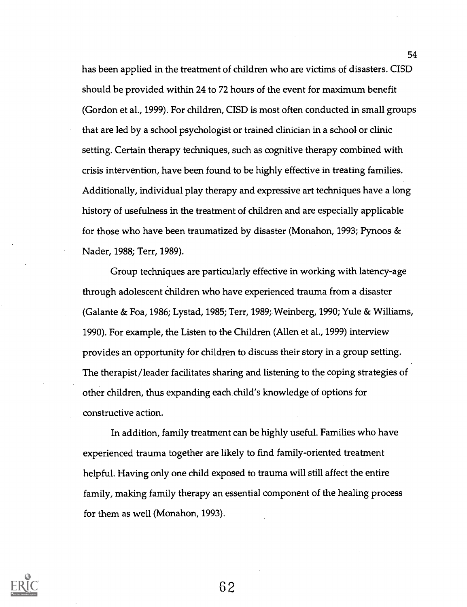has been applied in the treatment of children who are victims of disasters. CISD should be provided within 24 to 72 hours of the event for maximum benefit (Gordon et al., 1999). For children, CISD is most often conducted in small groups that are led by a school psychologist or trained clinician in a school or clinic setting. Certain therapy techniques, such as cognitive therapy combined with crisis intervention, have been found to be highly effective in treating families. Additionally, individual play therapy and expressive art techniques have a long history of usefulness in the treatment of children and are especially applicable for those who have been traumatized by disaster (Monahon, 1993; Pynoos & Nader, 1988; Terr, 1989).

Group techniques are particularly effective in working with latency-age through adolescent children who have experienced trauma from a disaster (Galante & Foa, 1986; Lystad, 1985; Tem 1989; Weinberg, 1990; Yule & Williams, 1990). For example, the Listen to the Children (Allen et al., 1999) interview provides an opportunity for children to discuss their story in a group setting. The therapist/leader facilitates sharing and listening to the coping strategies of other children, thus expanding each child's knowledge of options for constructive action.

In addition, family treatment can be highly useful. Families who have experienced trauma together are likely to find family-oriented treatment helpful. Having only one child exposed to trauma will still affect the entire family, making family therapy an essential component of the healing process for them as well (Monahon, 1993).

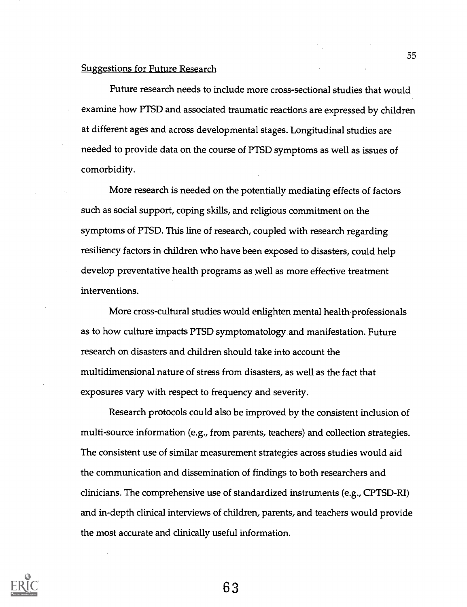### Suggestions for Future Research

Future research needs to include more cross-sectional studies that would examine how PTSD and associated traumatic reactions are expressed by children at different ages and across developmental stages. Longitudinal studies are needed to provide data on the course of PTSD symptoms as well as issues of comorbidity.

More research is needed on the potentially mediating effects of factors such as social support, coping skills, and religious commitment on the symptoms of PTSD. This line of research, coupled with research regarding resiliency factors in children who have been exposed to disasters, could help develop preventative health programs as well as more effective treatment interventions.

More cross-cultural studies would enlighten mental health professionals as to how culture impacts PTSD symptomatology and manifestation. Future research on disasters and children should take into account the multidimensional nature of stress from disasters, as well as the fact that exposures vary with respect to frequency and severity.

Research protocols could also be improved by the consistent inclusion of multi-source information (e.g., from parents, teachers) and collection strategies. The consistent use of similar measurement strategies across studies would aid the communication and dissemination of findings to both researchers and clinicians. The comprehensive use of standardized instruments (e.g., CPTSD-RI) and in-depth clinical interviews of children, parents, and teachers would provide the most accurate and clinically useful information.

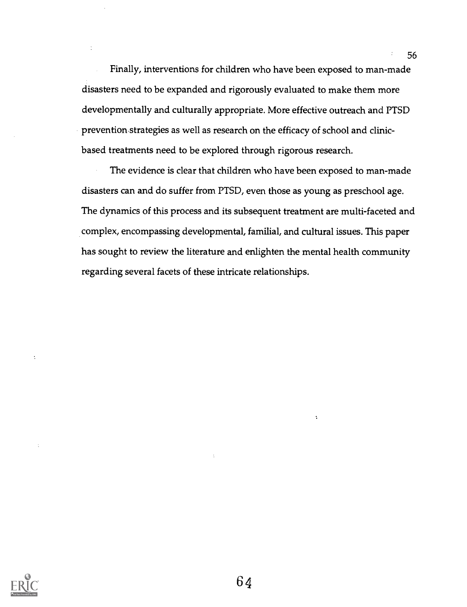Finally, interventions for children who have been exposed to man-made disasters need to be expanded and rigorously evaluated to make them more developmentally and culturally appropriate. More effective outreach and PTSD prevention.strategies as well as research on the efficacy of school and clinicbased treatments need to be explored through rigorous research.

The evidence is clear that children who have been exposed to man-made disasters can and do suffer from PTSD, even those as young as preschool age. The dynamics of this process and its subsequent treatment are multi-faceted and complex, encompassing developmental, familial, and cultural issues. This paper has sought to review the literature and enlighten the mental health community regarding several facets of these intricate relationships.



 $\ddot{\cdot}$ 

 $\ddot{\phantom{a}}$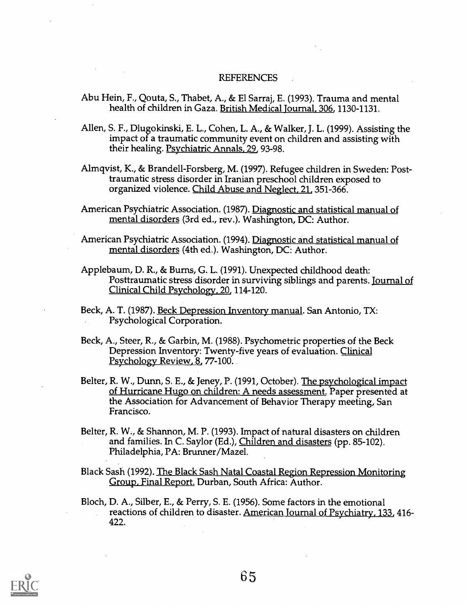#### REFERENCES

- Abu Hein, F., Qouta, S., Thabet, A., & El Sarraj, E. (1993). Trauma and mental health of children in Gaza. British Medical Journal, 306, 1130-1131.
- Allen, S. F., Dlugokinski, E. L., Cohen, L. A., & Walker, J. L. (1999). Assisting the impact of a traumatic community event on children and assisting with their healing. Psychiatric Annals, 29, 93-98.
- Almqvist, K., & Brandell-Forsberg, M. (1997). Refugee children in Sweden: Posttraumatic stress disorder in Iranian preschool children exposed to organized violence. Child Abuse and Neglect, 21, 351-366.
- American Psychiatric Association. (1987). Diagnostic and statistical manual of mental disorders (3rd ed., rev.). Washington, DC: Author.
- American Psychiatric Association. (1994). Diagnostic and statistical manual of mental disorders (4th ed.). Washington, DC: Author.
- Applebaum, D. R., & Burns, G. L. (1991). Unexpected childhood death: Posttraumatic stress disorder in surviving siblings and parents. Journal of Clinical Child Psychology, 20, 114-120.
- Beck, A. T. (1987). <u>Beck Depression Inventory manual</u>. San Antonio, TX: Psychological Corporation.
- Beck, A., Steer, R., & Garbin, M. (1988). Psychometric properties of the Beck Depression Inventory: Twenty-five years of evaluation. Clinical Psychology Review, 8, 77-100.
- Belter, R. W., Dunn, S. E., & Jeney, P. (1991, October). The psychological impact of Hurricane Hugo on children: A needs assessment. Paper presented at the Association for Advancement of Behavior Therapy meeting, San Francisco.
- Belter, R. W., & Shannon, M. P. (1993). Impact of natural disasters on children and families. In C. Saylor (Ed.), Children and disasters (pp. 85-102). Philadelphia, PA: Brunner /Mazel.
- Black Sash (1992). The Black Sash Natal Coastal Region Repression Monitoring Group, Final Report. Durban, South Africa: Author.
- Bloch, D. A., Silber, E., & Perry, S. E. (1956). Some factors in the emotional reactions of children to disaster. American Journal of Psychiatry, 133, 416- 422.

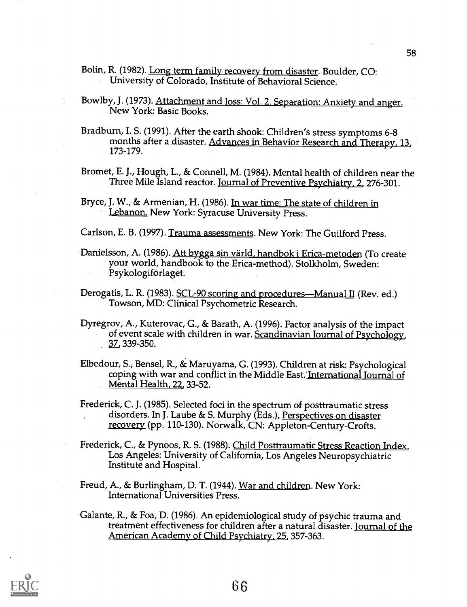Bolin, R. (1982). Long term family recovery from disaster. Boulder, CO: University of Colorado, Institute of Behavioral Science.

- Bowiby, J. (1973). Attachment and loss: Vol. 2. Separation: Anxiety and anger. New York: Basic Books.
- Bradburn, I. S. (1991). After the earth shook: Children's stress symptoms 6-8 months after a disaster. Advances in Behavior Research and Therapy, 13, 173-179.
- Bromet, E. J., Hough, L., & Connell, M. (1984). Mental health of children near the Three Mile Island reactor. Journal of Preventive Psychiatry, 2, 276-301.
- Bryce, J. W., & Armenian, H. (1986). In war time: The state of children in Lebanon. New York: Syracuse University Press.

Carlson, E. B. (1997). Trauma assessments. New York: The Guilford Press.

- Danielsson, A. (1986). Att bygga sin värld, handbok i Erica-metoden (To create your world, handbook to the Erica-method). Stolkholm, Sweden: Psykologiforlaget.
- Derogatis, L. R. (1983). SCL-90 scoring and procedures—Manual II (Rev. ed.) Towson, MD: Clinical Psychometric Research.
- Dyregrov, A., Kuterovac, G., & Barath, A. (1996). Factor analysis of the impact of event scale with children in war. Scandinavian Journal of Psychology, 37 339-350.
- Elbedour, S., Bensel, R., & Maruyama, G. (1993). Children at risk: Psychological coping with war and conflict in the Middle East. International Journal of Mental Health, 22, 33-52.

Frederick, C. J. (1985). Selected foci in the spectrum of posttraumatic stress disorders. In J. Laube & S. Murphy (Eds.), Perspectives on disaster recovery (pp. 110-130). Norwalk, CN: Appleton-Century-Crofts.

- Frederick, C., & Pynoos, R. S. (1988). Child Posttraumatic Stress Reaction Index. Los Angeles: University of California, Los Angeles Neuropsychiatric Institute and Hospital.
- Freud, A., & Burlingham, D. T. (1944). War and children. New York: International Universities Press.
- Galante, R., & Foa, D. (1986). An epidemiological study of psychic trauma and treatment effectiveness for children after a natural disaster. Journal of the American Academy of Child Psychiatry, 25, 357-363.

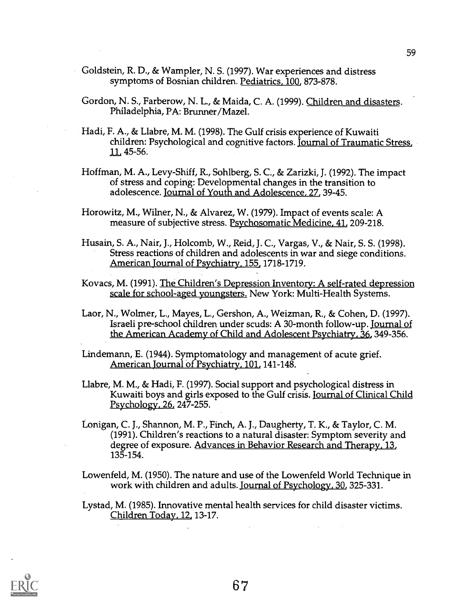- Goldstein, R. D., & Wampler, N. S. (1997). War experiences and distress symptoms of Bosnian children. Pediatrics, 100, 873-878.
- Gordon, N. S., Farberow, N. L., & Maida, C. A. (1999). Children and disasters. Philadelphia, PA: Brunner/Mazel.
- Hadi, F. A., & Llabre, M. M. (1998). The Gulf crisis experience of Kuwaiti children: Psychological and cognitive factors. <u>Journal of Traumatic Stress</u>, 11, 45-56.
- Hoffman, M. A., Levy-Shiff, R., Sohlberg, S. C., & Zarizki, J. (1992). The impact of stress and coping: Developmental changes in the transition to adolescence. Journal of Youth and Adolescence, 27, 39-45.
- Horowitz, M., Wilner, N., & Alvarez, W. (1979). Impact of events scale: A measure of subjective stress. Psychosomatic Medicine, 41, 209-218.
- Husain, S. A., Nair, J., Holcomb, W., Reid, J. C., Vargas, V., & Nair, S. S. (1998). Stress reactions of children and adolescents in war and siege conditions. American Journal of Psychiatry, 155, 1718-1719.
- Kovacs, M. (1991). The Children's Depression Inventory: A self-rated depression scale for school-aged youngsters. New York: Multi-Health Systems.
- Laor, N., Wolmer, L., Mayes, L., Gershon, A., Weizman, R., & Cohen, D. (1997). Israeli pre-school children under scuds: A 30-month follow-up. Journal of the American Academy of Child and Adolescent Psychiatry, 36, 349-356.

Lindemann, E. (1944). Symptomatology and management of acute grief. American Journal of Psychiatry, 101, 141-148.

Llabre, M. M., & Hadi, F. (1997). Social support and psychological distress in Kuwaiti boys and girls exposed to the Gulf crisis. Journal of Clinical Child Psychology, 26, 247-255.

Lonigan, C. J., Shannon, M. P., Finch, A. J., Daugherty, T. K., & Taylor, C. M. (1991). Children's reactions to a natural disaster: Symptom severity and degree of exposure. Advances in Behavior Research and Therapy, 13, 135-154.

Lowenfeld, M. (1950). The nature and use of the Lowenfeld World Technique in work with children and adults. Journal of Psychology, 30, 325-331.

Lystad, M. (1985). Innovative mental health services for child disaster victims. Children Today, 12, 13-17.

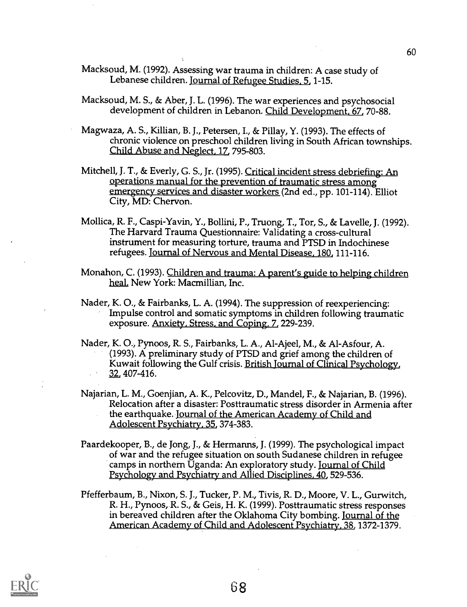- Macksoud, M. (1992). Assessing war trauma in children: A case study of Lebanese children. Journal of Refugee Studies, 5, 1-15.
- Macksoud, M. S., & Aber, J. L. (1996). The war experiences and psychosocial development of children in Lebanon. Child Development, 67, 70-88.
- Magwaza, A. S., Killian, B. J., Petersen, I., & Pillay, Y. (1993). The effects of chronic violence on preschool children living in South African townships. Child Abuse and Neglect, 17, 795-803.
- Mitchell, J. T., & Everly, G. S., Jr. (1995). Critical incident stress debriefing: An operations manual for the prevention of traumatic stress among emergency services and disaster workers (2nd ed., pp. 101-114). Elliot City, MD: Chervon.
- Mollica, R. F., Caspi- Yavin, Y., Bollini, P., Truong, T., Tor, S., & Lavelle, J. (1992). The Harvard Trauma Questionnaire: Validating a cross-cultural instrument for measuring torture, trauma and PTSD in Indochinese refugees. Journal of Nervous and Mental Disease, 180, 111-116.
- Monahon, C. (1993). Children and trauma: A parent's guide to helping children heal. New York: Macmillian, Inc.
- Nader, K. 0., & Fairbanks, L. A. (1994). The suppression of reexperiencing: Impulse control and somatic symptoms in children following traumatic exposure. Anxiety, Stress; and Coping, 7, 229-239.
- Nader, K. 0., Pynoos, R. S., Fairbanks, L. A., Al-Ajeel, M., & Al-Asfour, A. (1993). A preliminary study of PTSD and grief among the children of Kuwait following the Gulf crisis. British journal of Clinical Psychology, 32, 407-416.
- Najarian, L. M., Goenjian, A. K., Pelcovitz, D., Mandel, F., & Najarian, B. (1996). Relocation after a disaster: Posttraumatic stress disorder in Armenia after the earthquake. Journal of the American Academy of Child and Adolescent Psychiatry, 35, 374-383.
- Paardekooper, B., de Jong, J., & Hermanns, J. (1999). The psychological impact of war and the refugee situation on south Sudanese children in refugee camps in northern Uganda: An exploratory study. Journal of Child Psychology and Psychiatry and Allied Disciplines, 40, 529-536.
- Pfefferbaum, B., Nixon, S. J., Tucker, P. M., Tivis, R. D., Moore, V. L., Gurwitch, R. H., Pynoos, R. S., & Geis, H. K. (1999). Posttraumatic stress responses in bereaved children after the Oklahoma City bombing. Journal of the American Academy of Child and Adolescent Psychiatry, 38, 1372-1379.

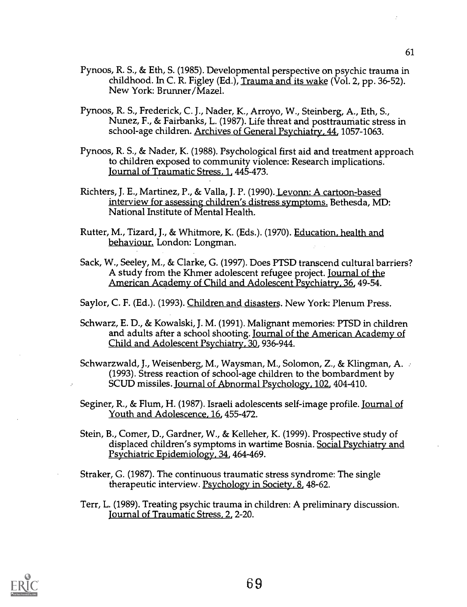- Pynoos, R. S., & Eth, S. (1985). Developmental perspective on psychic trauma in childhood. In C. R. Figley (Ed.), Trauma and its wake (Vol. 2, pp. 36-52). New York: Brunner/Mazel.
- Pynoos, R. S., Frederick, C. J., Nader, K., Arroyo, W., Steinberg, A., Eth, S., Nunez, F., & Fairbanks, L. (1987). Life threat and posttraumatic stress in school-age children. Archives of General Psychiatry, 44, 1057-1063.
- Pynoos, R. S., & Nader, K. (1988). Psychological first aid and treatment approach to children exposed to community violence: Research implications. Journal of Traumatic Stress, 1, 445-473.
- Richters, J. E., Martinez, P., & Valla, J. P. (1990). Levonn: A cartoon-based interview for assessing children's distress symptoms. Bethesda, MD: National Institute of Mental Health.
- Rutter, M., Tizard, J., & Whitmore, K. (Eds.). (1970). Education, health and behaviour. London: Longman.
- Sack, W., Seeley, M., & Clarke, G. (1997). Does PTSD transcend cultural barriers? A study from the Khmer adolescent refugee project. Journal of the American Academy of Child and Adolescent Psychiatry, 36, 49-54.

Saylor, C. F. (Ed.). (1993). Children and disasters. New York: Plenum Press.

- Schwarz, E. D., & Kowalski, J. M. (1991). Malignant memories: PTSD in children and adults after a school shooting. Journal of the American Academy of Child and Adolescent Psychiatry, 30, 936-944.
- Schwarzwald, J., Weisenberg, M., Waysman, M., Solomon, Z., & Klingman, A. .- (1993). Stress reaction of school-age children to the bombardment by SCUD missiles. Journal of Abnormal Psychology, 102, 404-410.
- Seginer, R., & Flum, H. (1987). Israeli adolescents self-image profile. Journal of Youth and Adolescence, 16, 455-472.
- Stein, B., Comer, D., Gardner, W., & Kelleher, K. (1999). Prospective study of displaced children's symptoms in wartime Bosnia. Social Psychiatry and Psychiatric Epidemiology, 34, 464-469.
- Straker, G. (1987). The continuous traumatic stress syndrome: The single therapeutic interview. Psychology in Society, 8, 48-62.
- Terr, L. (1989). Treating psychic trauma in children: A preliminary discussion. Journal of Traumatic Stress, 2, 2-20.

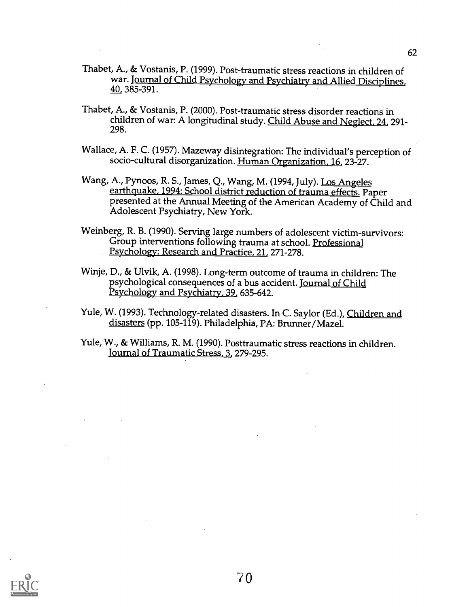- Thabet, A., & Vostanis, P. (1999). Post-traumatic stress reactions in children of war. Journal of Child Psychology and Psychiatry and Allied Disciplines, 40 385-391.
- Thabet, A., & Vostanis, P. (2000). Post-traumatic stress disorder reactions in children of war: A longitudinal study. Child Abuse and Neglect, 24, 291- 298.
- Wallace, A. F. C. (1957). Mazeway disintegration: The individual's perception of socio-cultural disorganization. Human Organization, 16, 23-27.
- Wang, A., Pynoos, R. S., James, Q., Wang, M. (1994, July). Los Angeles earthquake, 1994: School district reduction of trauma effects. Paper presented at the Annual Meeting of the American Academy of Child and Adolescent Psychiatry, New York.
- Weinberg, R. B. (1990). Serving large numbers of adolescent victim-survivors: Group interventions following trauma at school. Professional Psychology: Research and Practice, 21, 271-278.
- Winje, D., & Ulvik, A. (1998). Long-term outcome of trauma in children: The psychological consequences of a bus accident. Journal of Child Psychology and Psychiatry, 39, 635-642.
- Yule, W. (1993). Technology-related disasters. In C. Saylor (Ed.), Children and disasters (pp. 105-119). Philadelphia, PA: Brunner/Mazel.
- Yule, W., & Williams, R. M. (1990). Posttraumatic stress reactions in children. Journal of Traumatic Stress, 3, 279-295.



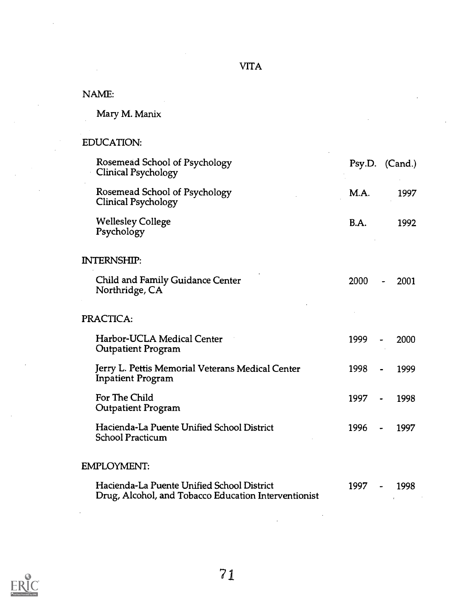# NAME:

Mary M. Manix

# EDUCATION:

| Rosemead School of Psychology<br>Clinical Psychology                                               | Psy.D. (Cand.)                   |                      |
|----------------------------------------------------------------------------------------------------|----------------------------------|----------------------|
| Rosemead School of Psychology<br>Clinical Psychology                                               | M.A.                             | 1997                 |
| <b>Wellesley College</b><br>Psychology                                                             | B.A.                             | 1992                 |
| <b>INTERNSHIP:</b>                                                                                 |                                  |                      |
| Child and Family Guidance Center<br>Northridge, CA                                                 | 2000                             | 2001                 |
| PRACTICA:                                                                                          |                                  |                      |
| Harbor-UCLA Medical Center<br><b>Outpatient Program</b>                                            | 1999                             | 2000                 |
| Jerry L. Pettis Memorial Veterans Medical Center<br><b>Inpatient Program</b>                       | 1998                             | 1999                 |
| For The Child<br><b>Outpatient Program</b>                                                         | 1997<br>$\overline{\phantom{a}}$ | 1998                 |
| Hacienda-La Puente Unified School District<br><b>School Practicum</b>                              | 1996<br>$\bullet$                | 1997                 |
| EMPLOYMENT:                                                                                        |                                  |                      |
| Hacienda-La Puente Unified School District<br>Drug, Alcohol, and Tobacco Education Interventionist | 1997                             | 1998<br>$\mathbf{r}$ |

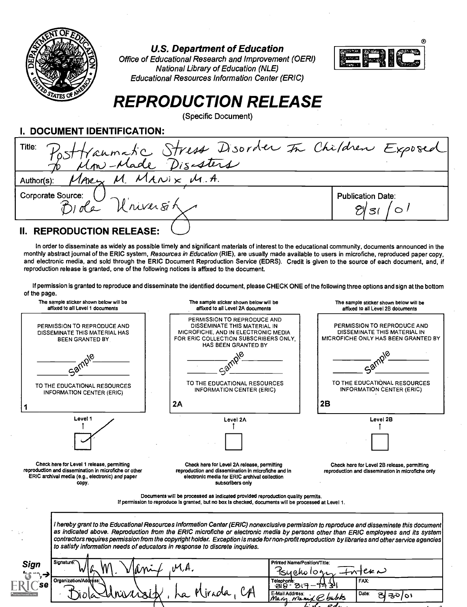

U.S. Department of Education

Office of Educational Research and Improvement (OERI) National Library of Education (NLE) Educational Resources Information Center (ERIC)



# REPRODUCTION RELEASE

(Specific Document)

I. DOCUMENT IDENTIFICATION:

| Title: Posttraumatic Stress Disorder In Children Exposed |                          |
|----------------------------------------------------------|--------------------------|
| to Mm-Made Disasters                                     |                          |
| MARY M. MANIX M.A.<br>Author(s):                         |                          |
| Corporate Source:                                        | <b>Publication Date:</b> |
| note Universite                                          |                          |
|                                                          |                          |

## II. REPRODUCTION RELEASE:

In order to disseminate as widely as possible timely and significant materials of interest to the educational community, documents announced in the monthly abstract journal of the ERIC system, Resources in Education (RIE), are usually made available to users in microfiche, reproduced paper copy, and electronic media, and sold through the ERIC Document Reproduction Service (EDRS). Credit is given to the source of each document, and, if reproduction release is granted, one of the following notices is affixed to the document.

If permission is granted to reproduce and disseminate the identified document, please CHECK ONE of the following three options and sign at the bottom of the page.